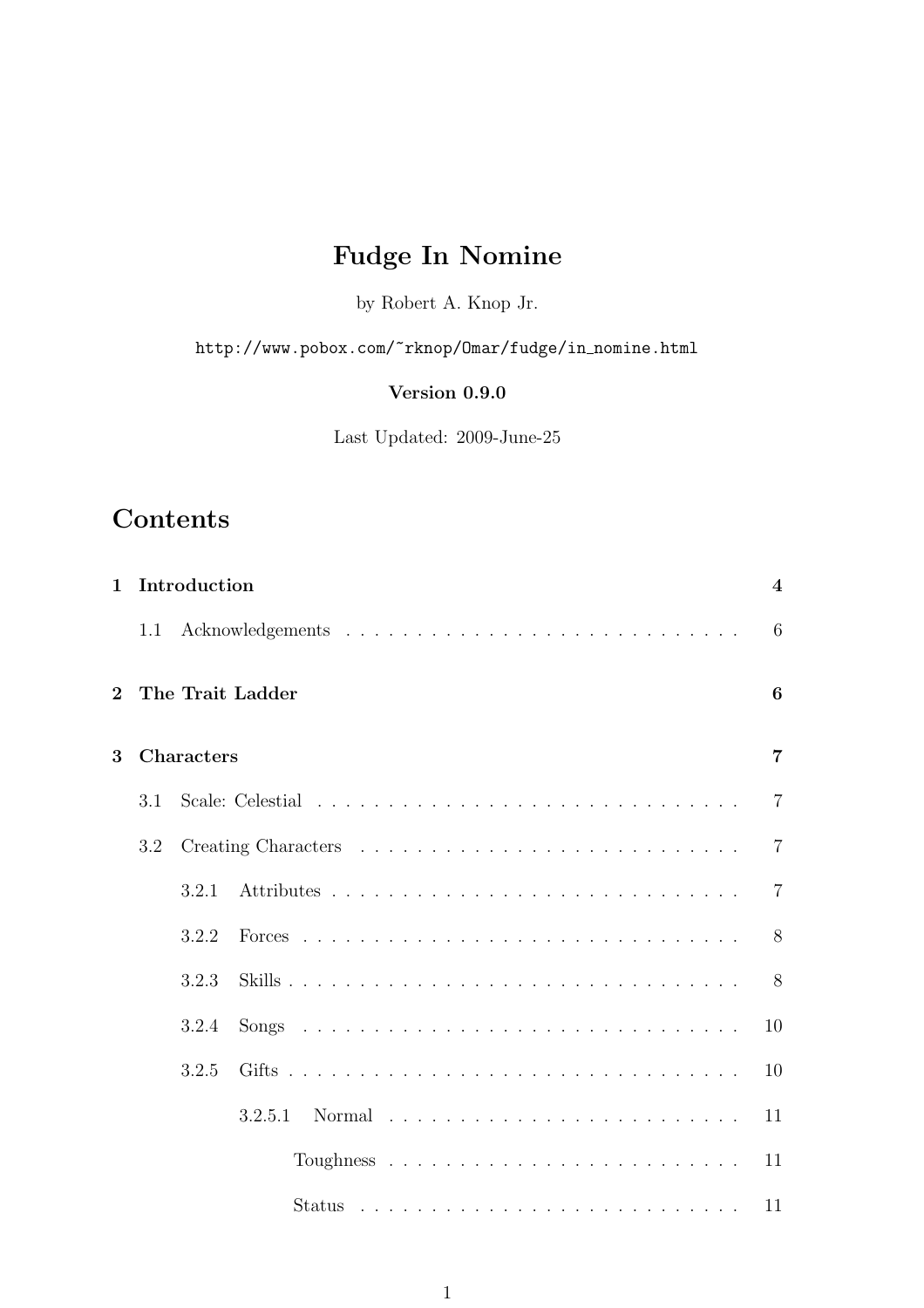# Fudge In Nomine

by Robert A. Knop Jr.

http://www.pobox.com/~rknop/0mar/fudge/in\_nomine.html

# Version 0.9.0

Last Updated: 2009-June-25

# **Contents**

| $\mathbf{1}$ |     | Introduction |                  |  |  |  |  |  |  |  |  |  |  |  |  |  | $\overline{\mathbf{4}}$ |
|--------------|-----|--------------|------------------|--|--|--|--|--|--|--|--|--|--|--|--|--|-------------------------|
|              | 1.1 |              |                  |  |  |  |  |  |  |  |  |  |  |  |  |  | 6                       |
| $\mathbf{2}$ |     |              | The Trait Ladder |  |  |  |  |  |  |  |  |  |  |  |  |  | 6                       |
| 3            |     | Characters   |                  |  |  |  |  |  |  |  |  |  |  |  |  |  | 7                       |
|              | 3.1 |              |                  |  |  |  |  |  |  |  |  |  |  |  |  |  | $\overline{7}$          |
|              | 3.2 |              |                  |  |  |  |  |  |  |  |  |  |  |  |  |  | $\overline{7}$          |
|              |     | 3.2.1        |                  |  |  |  |  |  |  |  |  |  |  |  |  |  | $\overline{7}$          |
|              |     | 3.2.2        |                  |  |  |  |  |  |  |  |  |  |  |  |  |  | 8                       |
|              |     | 3.2.3        |                  |  |  |  |  |  |  |  |  |  |  |  |  |  | 8                       |
|              |     | 3.2.4        |                  |  |  |  |  |  |  |  |  |  |  |  |  |  | 10                      |
|              |     | 3.2.5        |                  |  |  |  |  |  |  |  |  |  |  |  |  |  | 10                      |
|              |     |              | 3.2.5.1          |  |  |  |  |  |  |  |  |  |  |  |  |  | 11                      |
|              |     |              |                  |  |  |  |  |  |  |  |  |  |  |  |  |  | 11                      |
|              |     |              |                  |  |  |  |  |  |  |  |  |  |  |  |  |  | 11                      |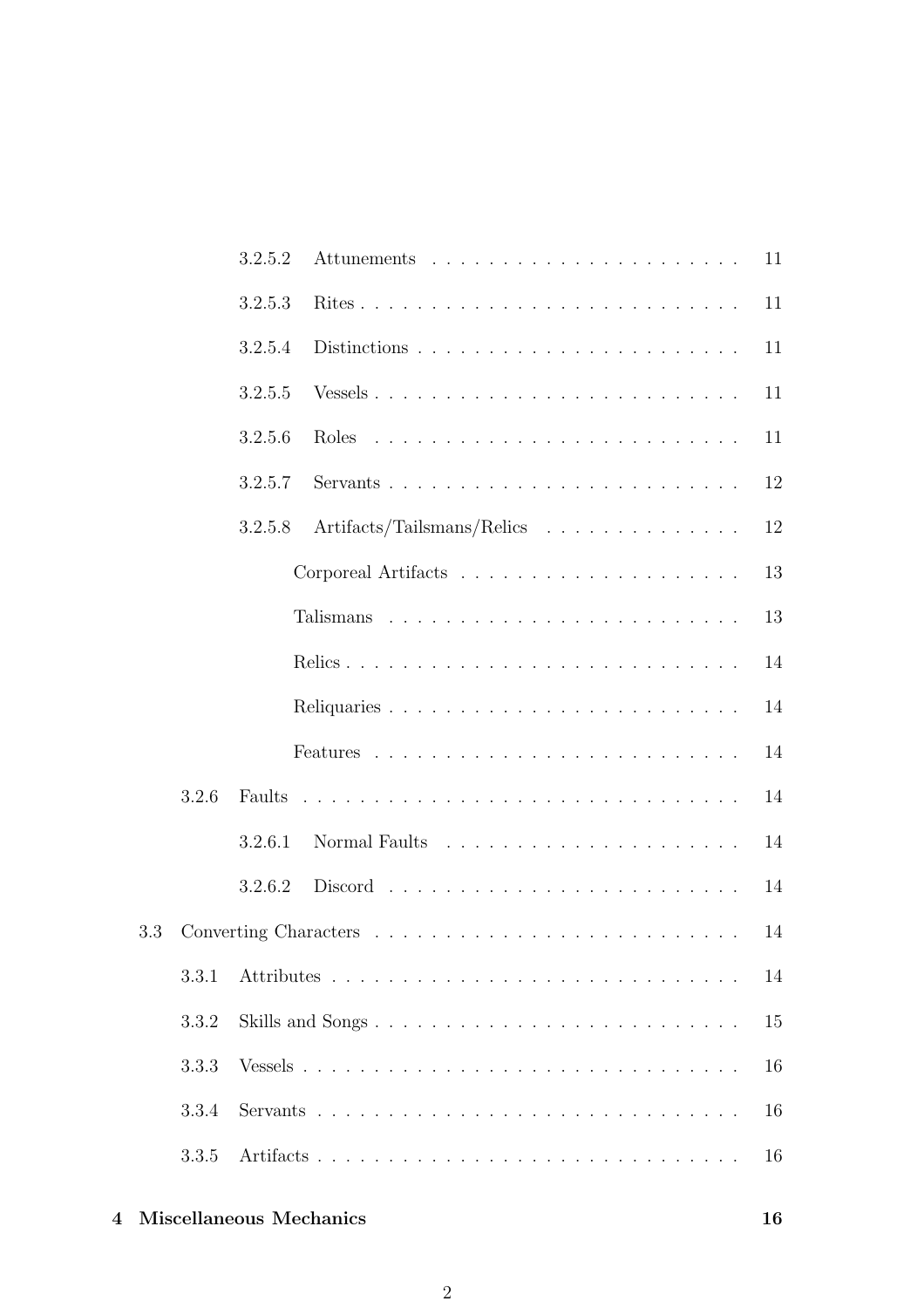|     |       | 3.2.5.2 |                            | 11 |
|-----|-------|---------|----------------------------|----|
|     |       | 3.2.5.3 |                            | 11 |
|     |       | 3.2.5.4 |                            | 11 |
|     |       | 3.2.5.5 |                            | 11 |
|     |       | 3.2.5.6 |                            | 11 |
|     |       | 3.2.5.7 |                            | 12 |
|     |       | 3.2.5.8 | Artifacts/Tailsmans/Relics | 12 |
|     |       |         |                            | 13 |
|     |       |         |                            | 13 |
|     |       |         |                            | 14 |
|     |       |         |                            | 14 |
|     |       |         |                            | 14 |
|     | 3.2.6 |         |                            | 14 |
|     |       | 3.2.6.1 |                            | 14 |
|     |       | 3.2.6.2 |                            | 14 |
| 3.3 |       |         |                            | 14 |
|     | 3.3.1 |         |                            | 14 |
|     | 3.3.2 |         | Skills and Songs           | 15 |
|     | 3.3.3 |         |                            | 16 |
|     | 3.3.4 |         |                            | 16 |
|     | 3.3.5 |         |                            | 16 |
|     |       |         |                            |    |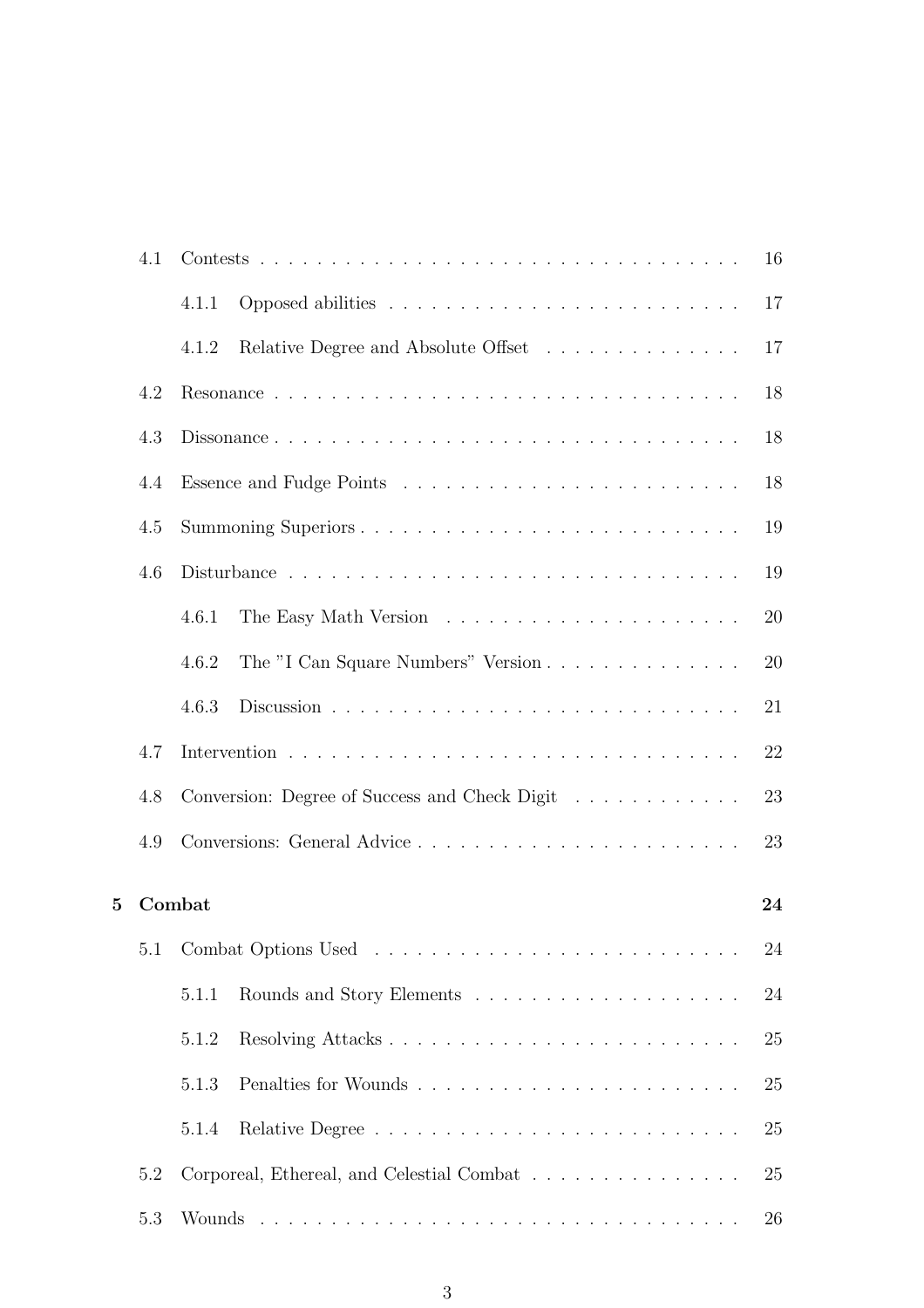|   | 4.1 |        |                                                                              | 16 |
|---|-----|--------|------------------------------------------------------------------------------|----|
|   |     | 4.1.1  |                                                                              | 17 |
|   |     | 4.1.2  | Relative Degree and Absolute Offset                                          | 17 |
|   | 4.2 |        |                                                                              | 18 |
|   | 4.3 |        | Dissonance                                                                   | 18 |
|   | 4.4 |        |                                                                              | 18 |
|   | 4.5 |        | Summoning Superiors                                                          | 19 |
|   | 4.6 |        |                                                                              | 19 |
|   |     | 4.6.1  |                                                                              | 20 |
|   |     | 4.6.2  | The "I Can Square Numbers" Version                                           | 20 |
|   |     | 4.6.3  |                                                                              | 21 |
|   | 4.7 |        |                                                                              | 22 |
|   | 4.8 |        | Conversion: Degree of Success and Check Digit                                | 23 |
|   | 4.9 |        |                                                                              | 23 |
| 5 |     | Combat |                                                                              | 24 |
|   | 5.1 |        |                                                                              | 24 |
|   |     | 5.1.1  | Rounds and Story Elements $\ldots \ldots \ldots \ldots \ldots \ldots \ldots$ | 24 |
|   |     | 5.1.2  |                                                                              | 25 |
|   |     | 5.1.3  |                                                                              | 25 |
|   |     | 5.1.4  |                                                                              | 25 |
|   | 5.2 |        | Corporeal, Ethereal, and Celestial Combat                                    | 25 |
|   | 5.3 |        |                                                                              | 26 |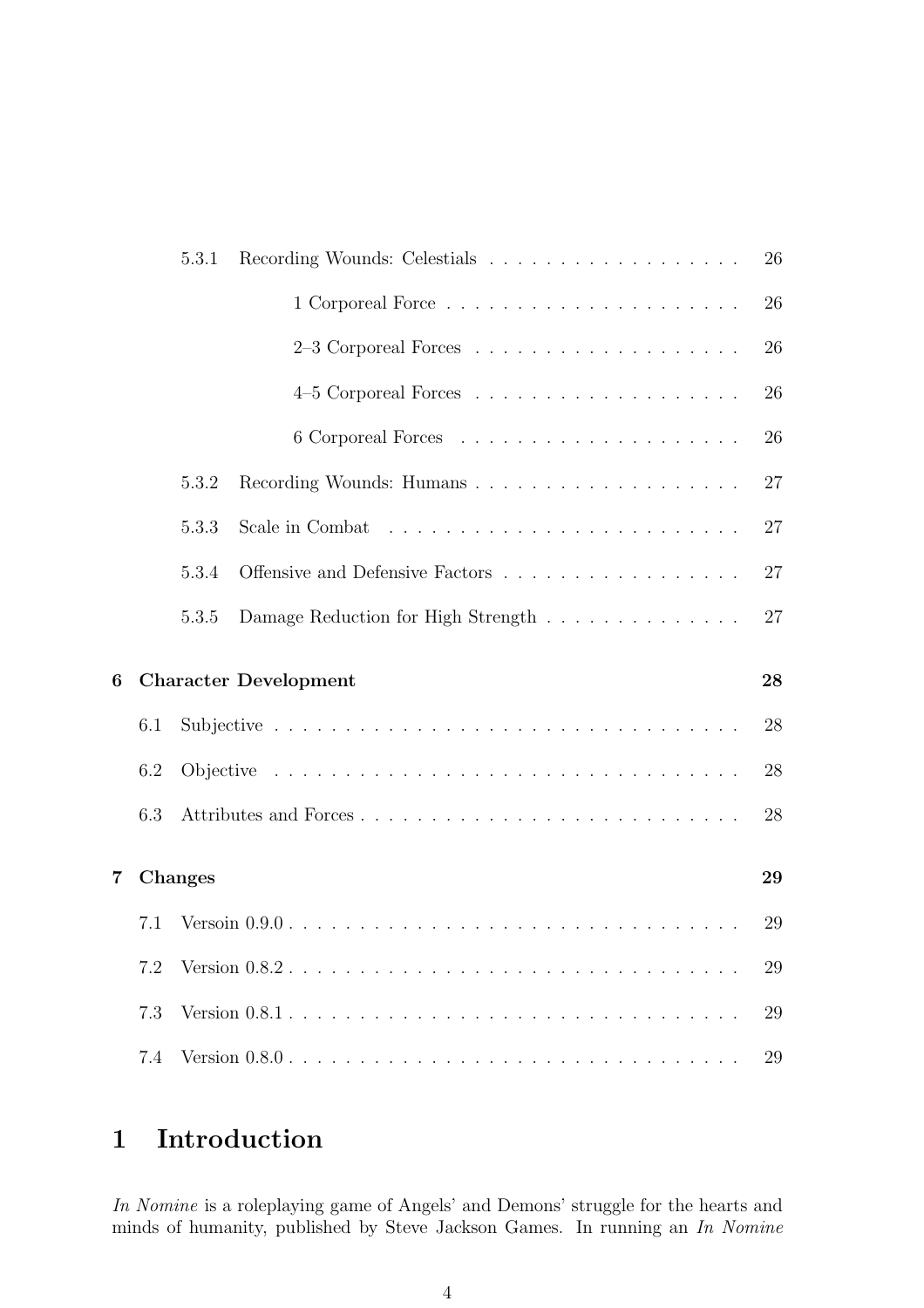|   |     | 5.3.1          |                                    | 26 |
|---|-----|----------------|------------------------------------|----|
|   |     |                |                                    | 26 |
|   |     |                |                                    | 26 |
|   |     |                |                                    | 26 |
|   |     |                |                                    | 26 |
|   |     | 5.3.2          |                                    | 27 |
|   |     | 5.3.3          |                                    | 27 |
|   |     | 5.3.4          | Offensive and Defensive Factors    | 27 |
|   |     | 5.3.5          | Damage Reduction for High Strength | 27 |
|   |     |                |                                    |    |
|   |     |                | <b>Character Development</b>       | 28 |
|   | 6.1 |                |                                    | 28 |
|   | 6.2 |                |                                    | 28 |
| 6 | 6.3 |                |                                    | 28 |
| 7 |     | <b>Changes</b> |                                    | 29 |
|   | 7.1 |                |                                    | 29 |
|   | 7.2 |                |                                    | 29 |
|   | 7.3 |                |                                    | 29 |

# 1 Introduction

*In Nomine* is a roleplaying game of Angels' and Demons' struggle for the hearts and minds of humanity, published by Steve Jackson Games. In running an *In Nomine*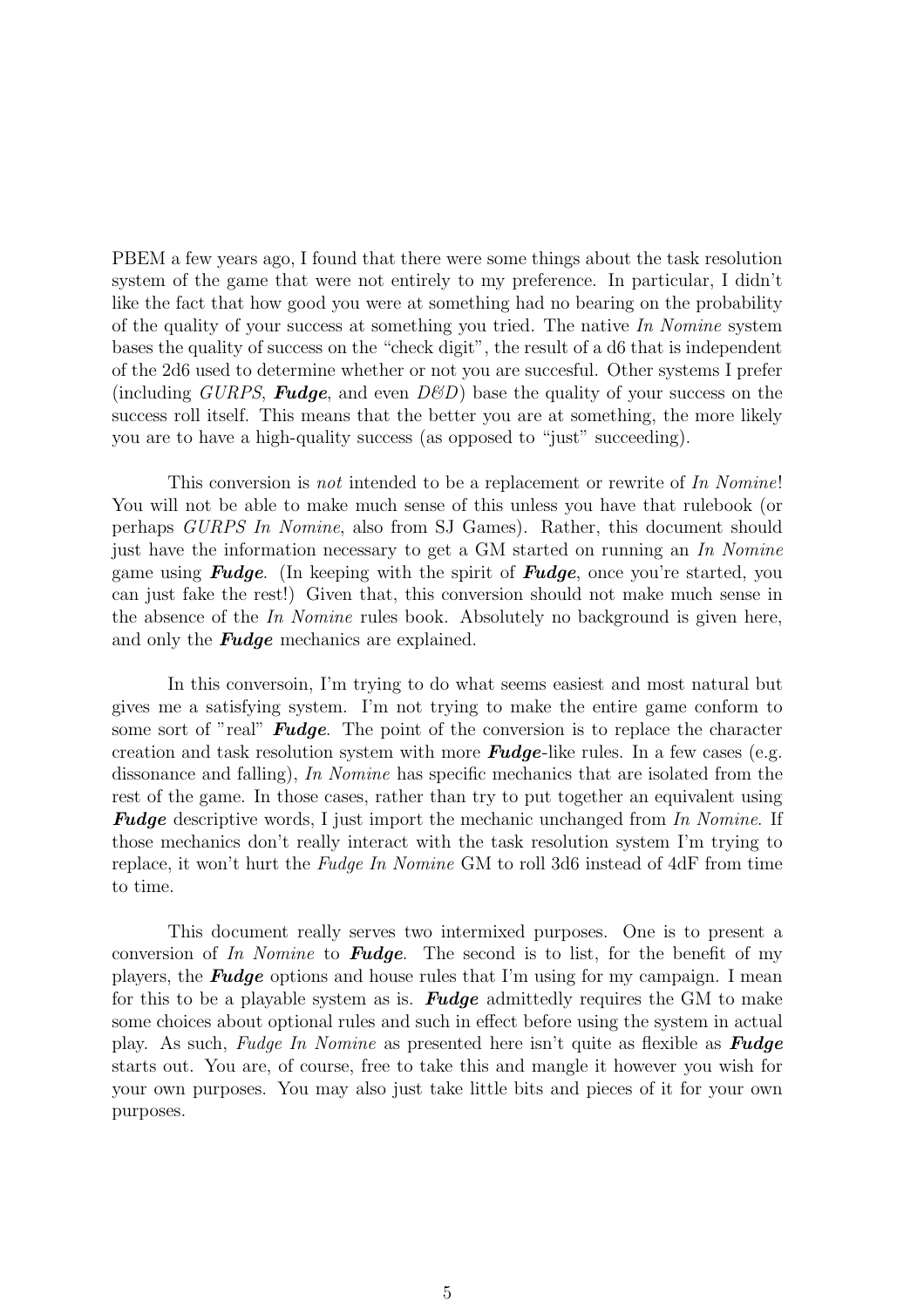PBEM a few years ago, I found that there were some things about the task resolution system of the game that were not entirely to my preference. In particular, I didn't like the fact that how good you were at something had no bearing on the probability of the quality of your success at something you tried. The native *In Nomine* system bases the quality of success on the "check digit", the result of a d6 that is independent of the 2d6 used to determine whether or not you are succesful. Other systems I prefer (including *GURPS*, **Fudge**, and even  $D\mathscr{C}D$ ) base the quality of your success on the success roll itself. This means that the better you are at something, the more likely you are to have a high-quality success (as opposed to "just" succeeding).

This conversion is *not* intended to be a replacement or rewrite of *In Nomine*! You will not be able to make much sense of this unless you have that rulebook (or perhaps *GURPS In Nomine*, also from SJ Games). Rather, this document should just have the information necessary to get a GM started on running an *In Nomine* game using **Fudge**. (In keeping with the spirit of **Fudge**, once you're started, you can just fake the rest!) Given that, this conversion should not make much sense in the absence of the *In Nomine* rules book. Absolutely no background is given here, and only the **Fudge** mechanics are explained.

In this conversoin, I'm trying to do what seems easiest and most natural but gives me a satisfying system. I'm not trying to make the entire game conform to some sort of "real" **Fudge**. The point of the conversion is to replace the character creation and task resolution system with more **Fudge**-like rules. In a few cases (e.g. dissonance and falling), *In Nomine* has specific mechanics that are isolated from the rest of the game. In those cases, rather than try to put together an equivalent using Fudge descriptive words, I just import the mechanic unchanged from *In Nomine*. If those mechanics don't really interact with the task resolution system I'm trying to replace, it won't hurt the *Fudge In Nomine* GM to roll 3d6 instead of 4dF from time to time.

This document really serves two intermixed purposes. One is to present a conversion of *In Nomine* to Fudge. The second is to list, for the benefit of my players, the **Fudge** options and house rules that I'm using for my campaign. I mean for this to be a playable system as is. **Fudge** admittedly requires the GM to make some choices about optional rules and such in effect before using the system in actual play. As such, *Fudge In Nomine* as presented here isn't quite as flexible as Fudge starts out. You are, of course, free to take this and mangle it however you wish for your own purposes. You may also just take little bits and pieces of it for your own purposes.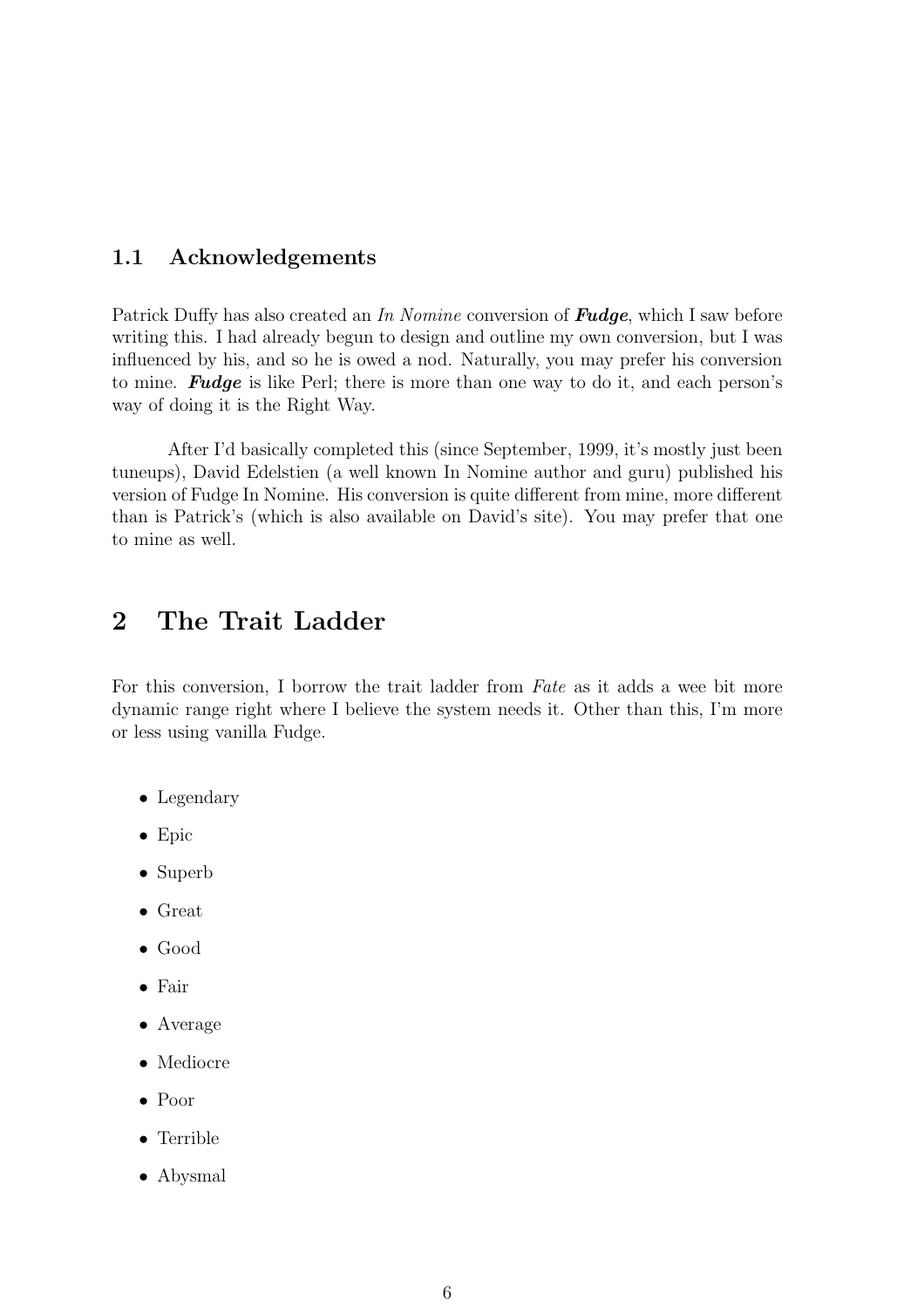## 1.1 Acknowledgements

Patrick Duffy has also created an *In Nomine* conversion of Fudge, which I saw before writing this. I had already begun to design and outline my own conversion, but I was influenced by his, and so he is owed a nod. Naturally, you may prefer his conversion to mine. Fudge is like Perl; there is more than one way to do it, and each person's way of doing it is the Right Way.

After I'd basically completed this (since September, 1999, it's mostly just been tuneups), David Edelstien (a well known In Nomine author and guru) published his version of Fudge In Nomine. His conversion is quite different from mine, more different than is Patrick's (which is also available on David's site). You may prefer that one to mine as well.

# 2 The Trait Ladder

For this conversion, I borrow the trait ladder from *Fate* as it adds a wee bit more dynamic range right where I believe the system needs it. Other than this, I'm more or less using vanilla Fudge.

- Legendary
- Epic
- Superb
- Great
- Good
- Fair
- Average
- Mediocre
- Poor
- Terrible
- Abysmal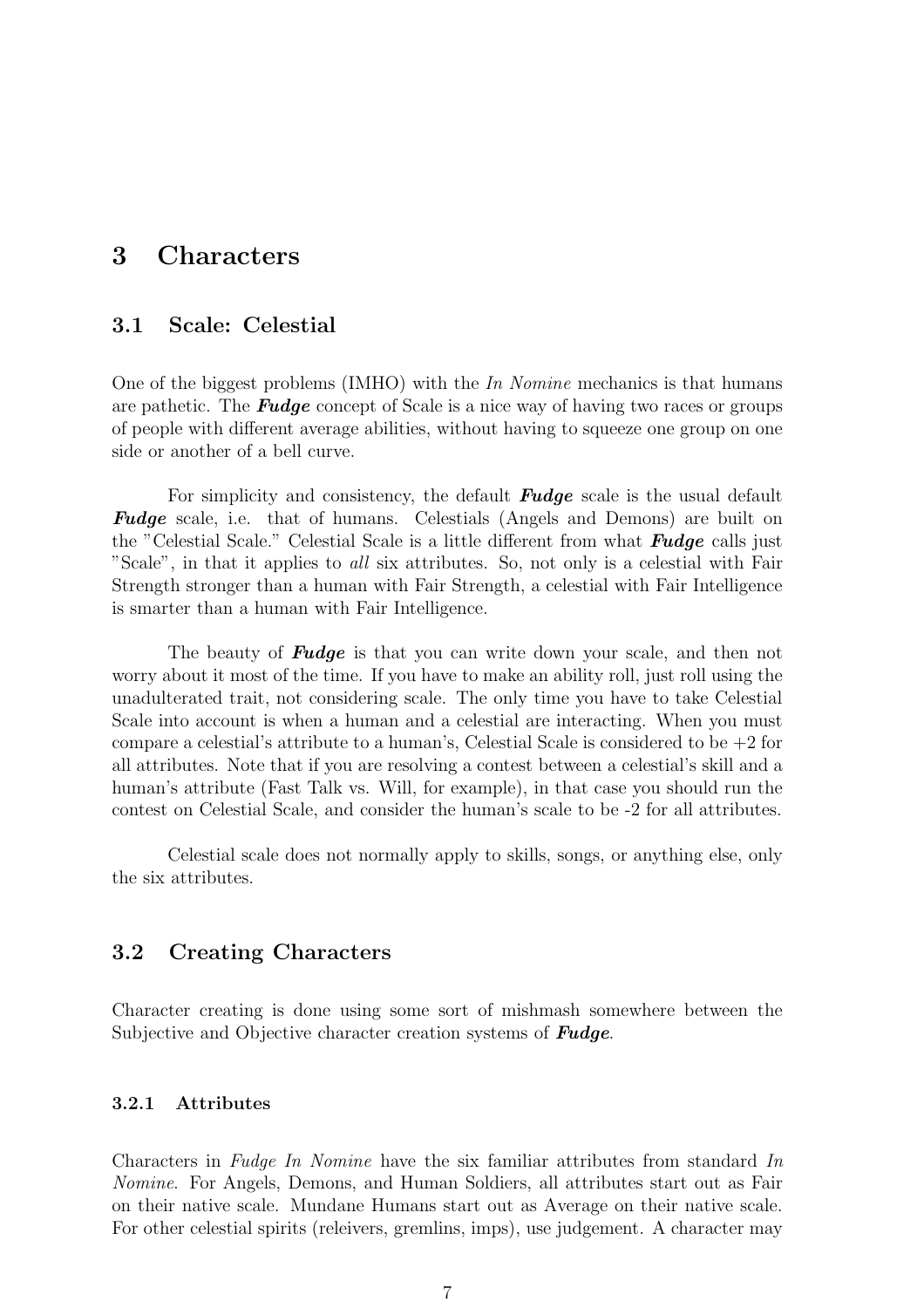# 3 Characters

## 3.1 Scale: Celestial

One of the biggest problems (IMHO) with the *In Nomine* mechanics is that humans are pathetic. The **Fudge** concept of Scale is a nice way of having two races or groups of people with different average abilities, without having to squeeze one group on one side or another of a bell curve.

For simplicity and consistency, the default **Fudge** scale is the usual default **Fudge** scale, i.e. that of humans. Celestials (Angels and Demons) are built on the "Celestial Scale." Celestial Scale is a little different from what **Fudge** calls just "Scale", in that it applies to *all* six attributes. So, not only is a celestial with Fair Strength stronger than a human with Fair Strength, a celestial with Fair Intelligence is smarter than a human with Fair Intelligence.

The beauty of **Fudge** is that you can write down your scale, and then not worry about it most of the time. If you have to make an ability roll, just roll using the unadulterated trait, not considering scale. The only time you have to take Celestial Scale into account is when a human and a celestial are interacting. When you must compare a celestial's attribute to a human's, Celestial Scale is considered to be  $+2$  for all attributes. Note that if you are resolving a contest between a celestial's skill and a human's attribute (Fast Talk vs. Will, for example), in that case you should run the contest on Celestial Scale, and consider the human's scale to be -2 for all attributes.

Celestial scale does not normally apply to skills, songs, or anything else, only the six attributes.

## 3.2 Creating Characters

Character creating is done using some sort of mishmash somewhere between the Subjective and Objective character creation systems of **Fudge**.

### 3.2.1 Attributes

Characters in *Fudge In Nomine* have the six familiar attributes from standard *In Nomine*. For Angels, Demons, and Human Soldiers, all attributes start out as Fair on their native scale. Mundane Humans start out as Average on their native scale. For other celestial spirits (releivers, gremlins, imps), use judgement. A character may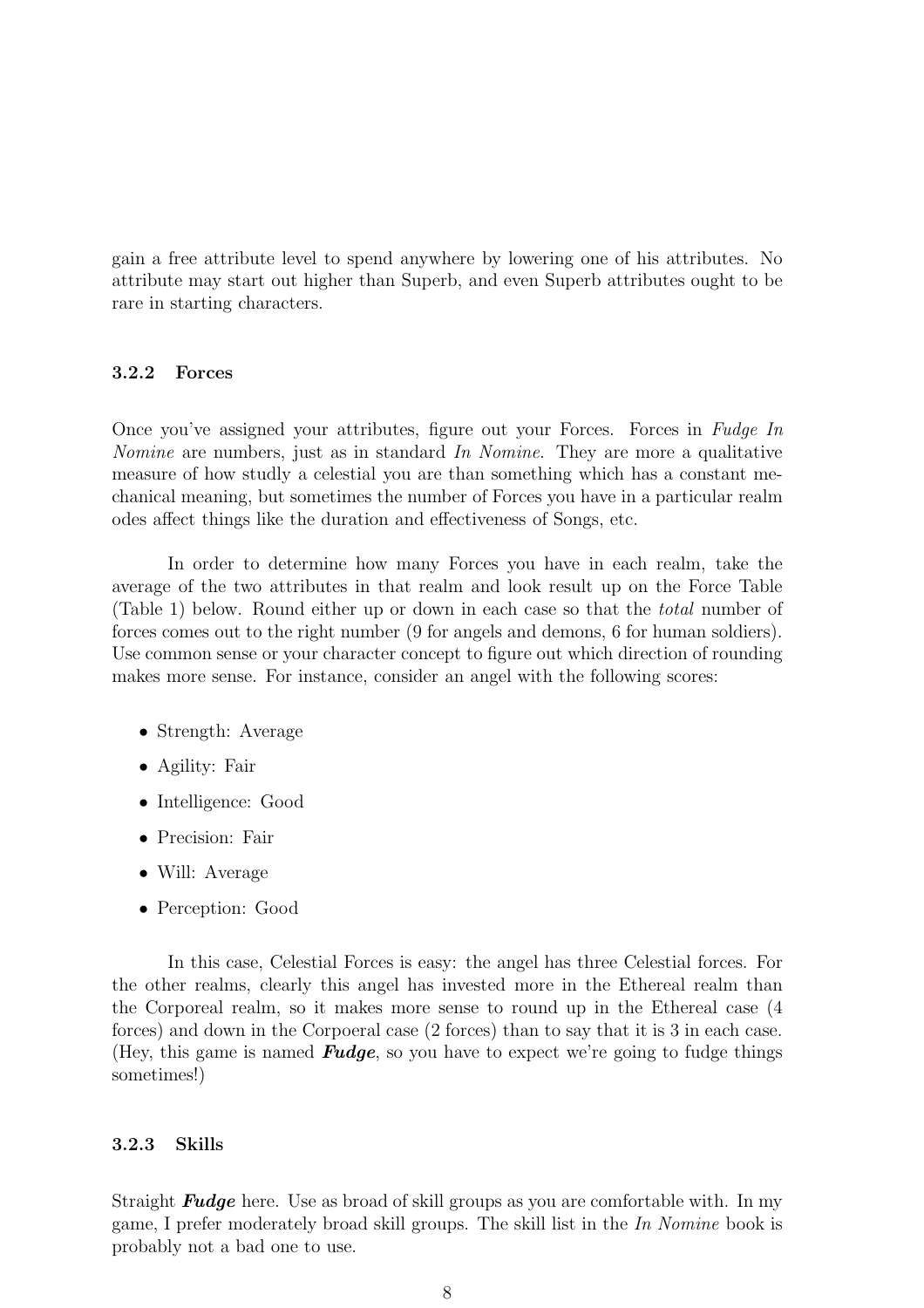gain a free attribute level to spend anywhere by lowering one of his attributes. No attribute may start out higher than Superb, and even Superb attributes ought to be rare in starting characters.

#### 3.2.2 Forces

Once you've assigned your attributes, figure out your Forces. Forces in *Fudge In Nomine* are numbers, just as in standard *In Nomine*. They are more a qualitative measure of how studly a celestial you are than something which has a constant mechanical meaning, but sometimes the number of Forces you have in a particular realm odes affect things like the duration and effectiveness of Songs, etc.

In order to determine how many Forces you have in each realm, take the average of the two attributes in that realm and look result up on the Force Table (Table 1) below. Round either up or down in each case so that the *total* number of forces comes out to the right number (9 for angels and demons, 6 for human soldiers). Use common sense or your character concept to figure out which direction of rounding makes more sense. For instance, consider an angel with the following scores:

- Strength: Average
- Agility: Fair
- Intelligence: Good
- Precision: Fair
- Will: Average
- Perception: Good

In this case, Celestial Forces is easy: the angel has three Celestial forces. For the other realms, clearly this angel has invested more in the Ethereal realm than the Corporeal realm, so it makes more sense to round up in the Ethereal case (4 forces) and down in the Corpoeral case (2 forces) than to say that it is 3 in each case. (Hey, this game is named **Fudge**, so you have to expect we're going to fudge things sometimes!)

#### 3.2.3 Skills

Straight **Fudge** here. Use as broad of skill groups as you are comfortable with. In my game, I prefer moderately broad skill groups. The skill list in the *In Nomine* book is probably not a bad one to use.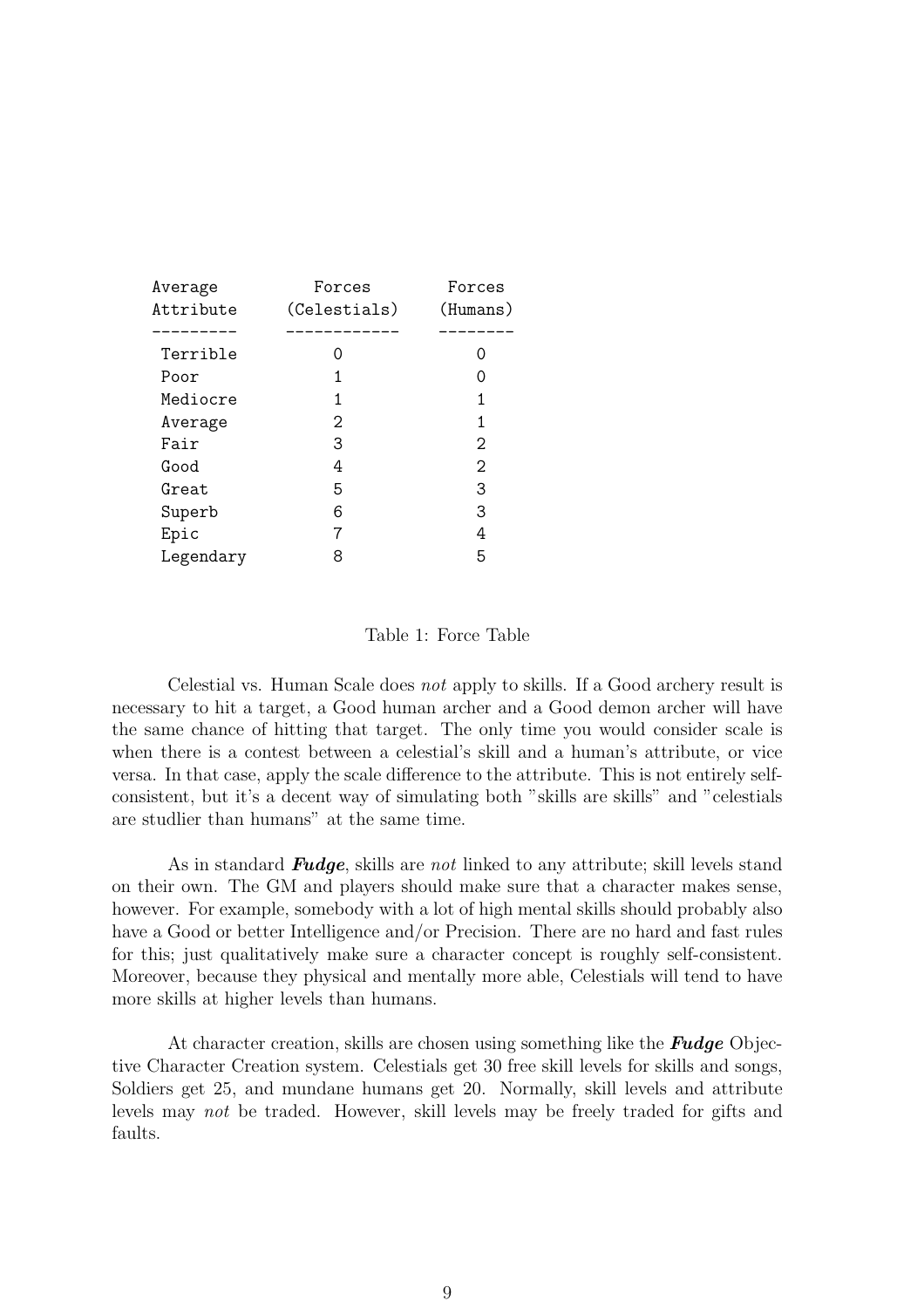| Average   | Forces       | Forces   |
|-----------|--------------|----------|
| Attribute | (Celestials) | (Humans) |
|           |              |          |
| Terrible  | Ω            |          |
| Poor      | 1            |          |
| Mediocre  | 1            | 1        |
| Average   | 2            | 1        |
| Fair      | 3            | 2        |
| Good      | 4            | 2        |
| Great     | 5            | 3        |
| Superb    | 6            | 3        |
| Epic      |              | 4        |
| Legendary | 8            | 5        |
|           |              |          |

#### Table 1: Force Table

Celestial vs. Human Scale does *not* apply to skills. If a Good archery result is necessary to hit a target, a Good human archer and a Good demon archer will have the same chance of hitting that target. The only time you would consider scale is when there is a contest between a celestial's skill and a human's attribute, or vice versa. In that case, apply the scale difference to the attribute. This is not entirely selfconsistent, but it's a decent way of simulating both "skills are skills" and "celestials are studlier than humans" at the same time.

As in standard Fudge, skills are *not* linked to any attribute; skill levels stand on their own. The GM and players should make sure that a character makes sense, however. For example, somebody with a lot of high mental skills should probably also have a Good or better Intelligence and/or Precision. There are no hard and fast rules for this; just qualitatively make sure a character concept is roughly self-consistent. Moreover, because they physical and mentally more able, Celestials will tend to have more skills at higher levels than humans.

At character creation, skills are chosen using something like the **Fudge** Objective Character Creation system. Celestials get 30 free skill levels for skills and songs, Soldiers get 25, and mundane humans get 20. Normally, skill levels and attribute levels may *not* be traded. However, skill levels may be freely traded for gifts and faults.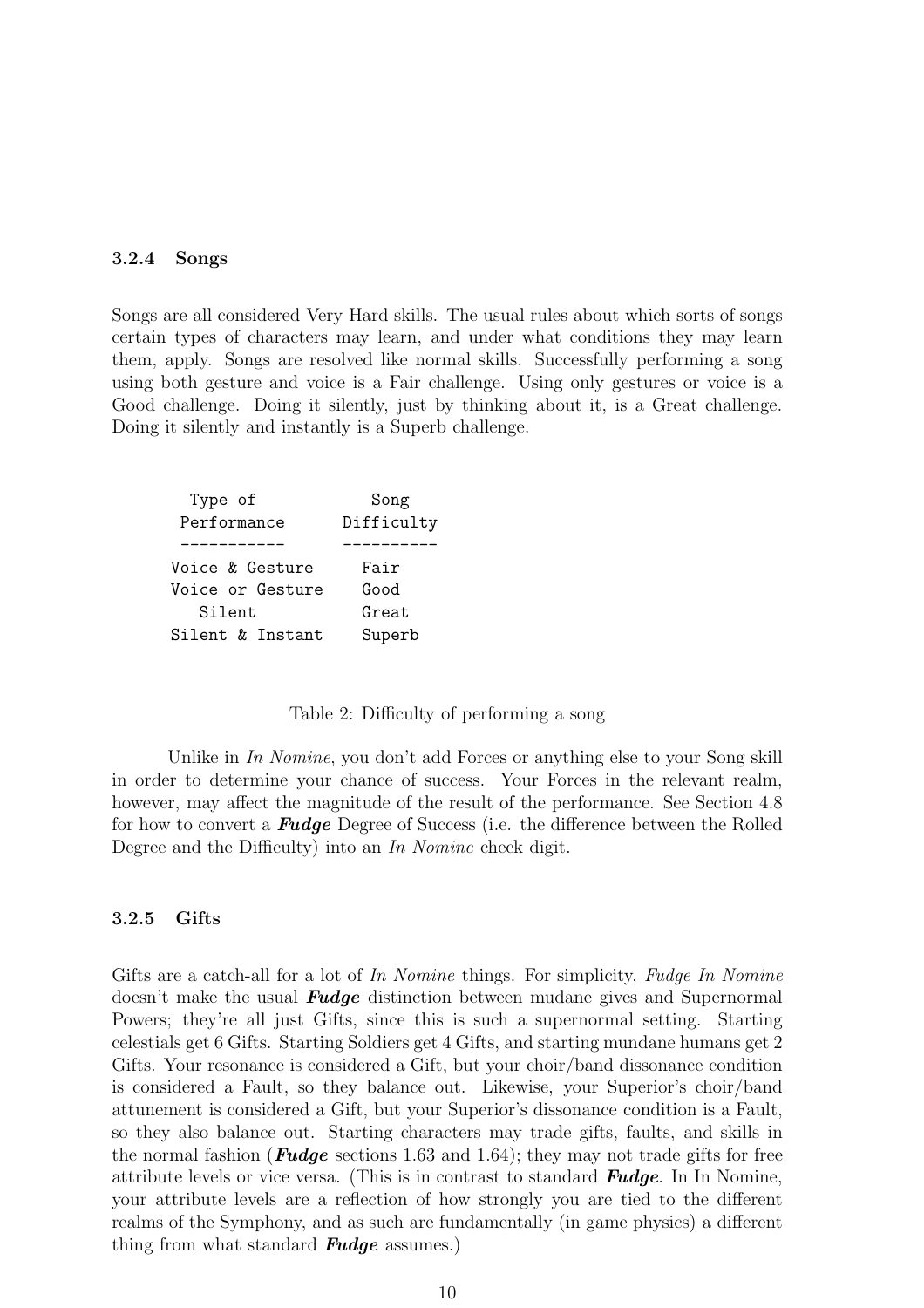#### 3.2.4 Songs

Songs are all considered Very Hard skills. The usual rules about which sorts of songs certain types of characters may learn, and under what conditions they may learn them, apply. Songs are resolved like normal skills. Successfully performing a song using both gesture and voice is a Fair challenge. Using only gestures or voice is a Good challenge. Doing it silently, just by thinking about it, is a Great challenge. Doing it silently and instantly is a Superb challenge.

| Type of          | Song       |
|------------------|------------|
| Performance      | Difficulty |
|                  |            |
| Voice & Gesture  | Fair       |
| Voice or Gesture | Good       |
| Silent           | Great      |
| Silent & Instant | Superb     |
|                  |            |

Table 2: Difficulty of performing a song

Unlike in *In Nomine*, you don't add Forces or anything else to your Song skill in order to determine your chance of success. Your Forces in the relevant realm, however, may affect the magnitude of the result of the performance. See Section 4.8 for how to convert a Fudge Degree of Success (i.e. the difference between the Rolled Degree and the Difficulty) into an *In Nomine* check digit.

#### 3.2.5 Gifts

Gifts are a catch-all for a lot of *In Nomine* things. For simplicity, *Fudge In Nomine* doesn't make the usual **Fudge** distinction between mudane gives and Supernormal Powers; they're all just Gifts, since this is such a supernormal setting. Starting celestials get 6 Gifts. Starting Soldiers get 4 Gifts, and starting mundane humans get 2 Gifts. Your resonance is considered a Gift, but your choir/band dissonance condition is considered a Fault, so they balance out. Likewise, your Superior's choir/band attunement is considered a Gift, but your Superior's dissonance condition is a Fault, so they also balance out. Starting characters may trade gifts, faults, and skills in the normal fashion (**Fudge** sections 1.63 and 1.64); they may not trade gifts for free attribute levels or vice versa. (This is in contrast to standard Fudge. In In Nomine, your attribute levels are a reflection of how strongly you are tied to the different realms of the Symphony, and as such are fundamentally (in game physics) a different thing from what standard **Fudge** assumes.)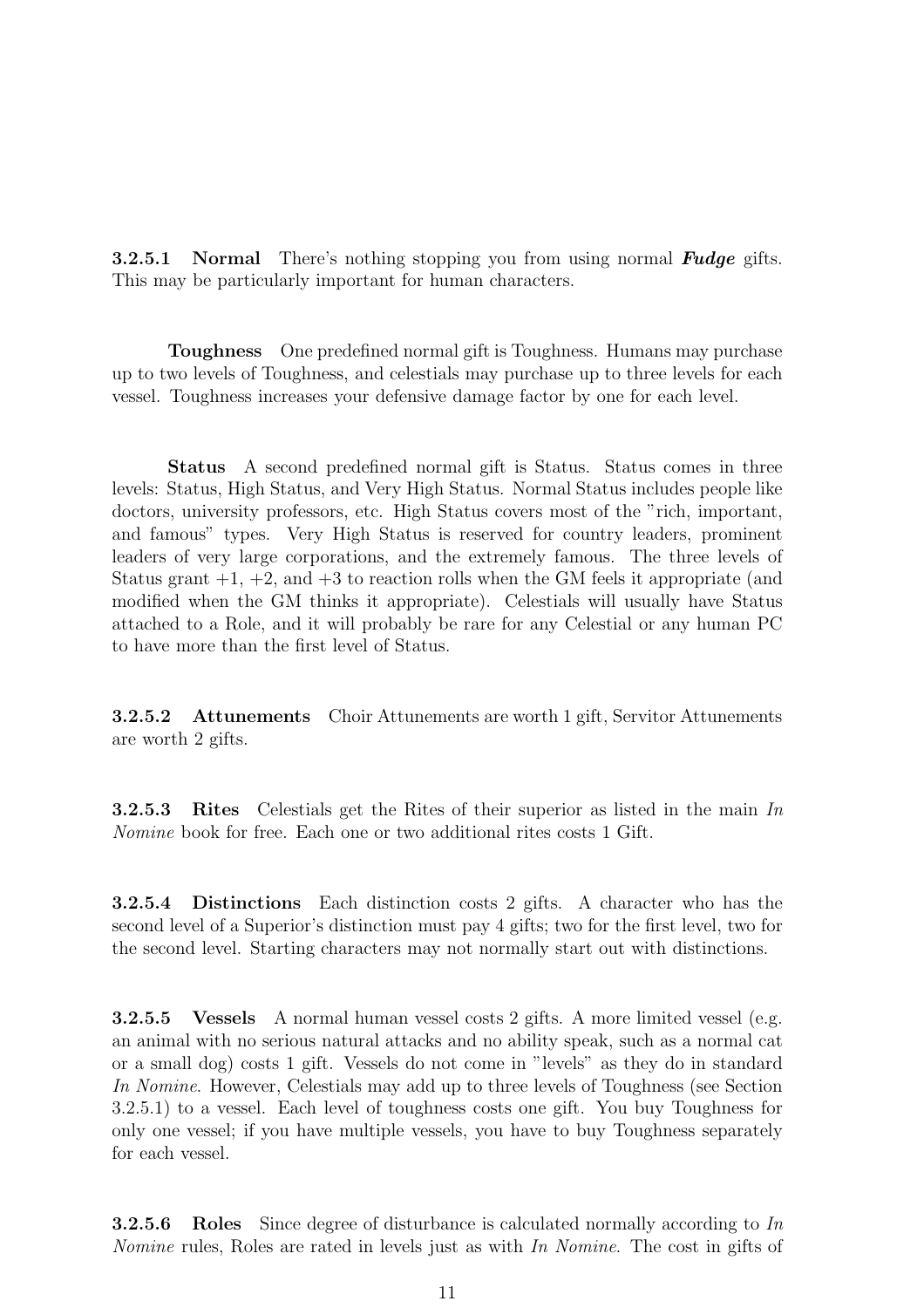**3.2.5.1** Normal There's nothing stopping you from using normal **Fudge** gifts. This may be particularly important for human characters.

Toughness One predefined normal gift is Toughness. Humans may purchase up to two levels of Toughness, and celestials may purchase up to three levels for each vessel. Toughness increases your defensive damage factor by one for each level.

Status A second predefined normal gift is Status. Status comes in three levels: Status, High Status, and Very High Status. Normal Status includes people like doctors, university professors, etc. High Status covers most of the "rich, important, and famous" types. Very High Status is reserved for country leaders, prominent leaders of very large corporations, and the extremely famous. The three levels of Status grant  $+1$ ,  $+2$ , and  $+3$  to reaction rolls when the GM feels it appropriate (and modified when the GM thinks it appropriate). Celestials will usually have Status attached to a Role, and it will probably be rare for any Celestial or any human PC to have more than the first level of Status.

3.2.5.2 Attunements Choir Attunements are worth 1 gift, Servitor Attunements are worth 2 gifts.

3.2.5.3 Rites Celestials get the Rites of their superior as listed in the main *In Nomine* book for free. Each one or two additional rites costs 1 Gift.

3.2.5.4 Distinctions Each distinction costs 2 gifts. A character who has the second level of a Superior's distinction must pay 4 gifts; two for the first level, two for the second level. Starting characters may not normally start out with distinctions.

3.2.5.5 Vessels A normal human vessel costs 2 gifts. A more limited vessel (e.g. an animal with no serious natural attacks and no ability speak, such as a normal cat or a small dog) costs 1 gift. Vessels do not come in "levels" as they do in standard *In Nomine*. However, Celestials may add up to three levels of Toughness (see Section 3.2.5.1) to a vessel. Each level of toughness costs one gift. You buy Toughness for only one vessel; if you have multiple vessels, you have to buy Toughness separately for each vessel.

3.2.5.6 Roles Since degree of disturbance is calculated normally according to *In Nomine* rules, Roles are rated in levels just as with *In Nomine*. The cost in gifts of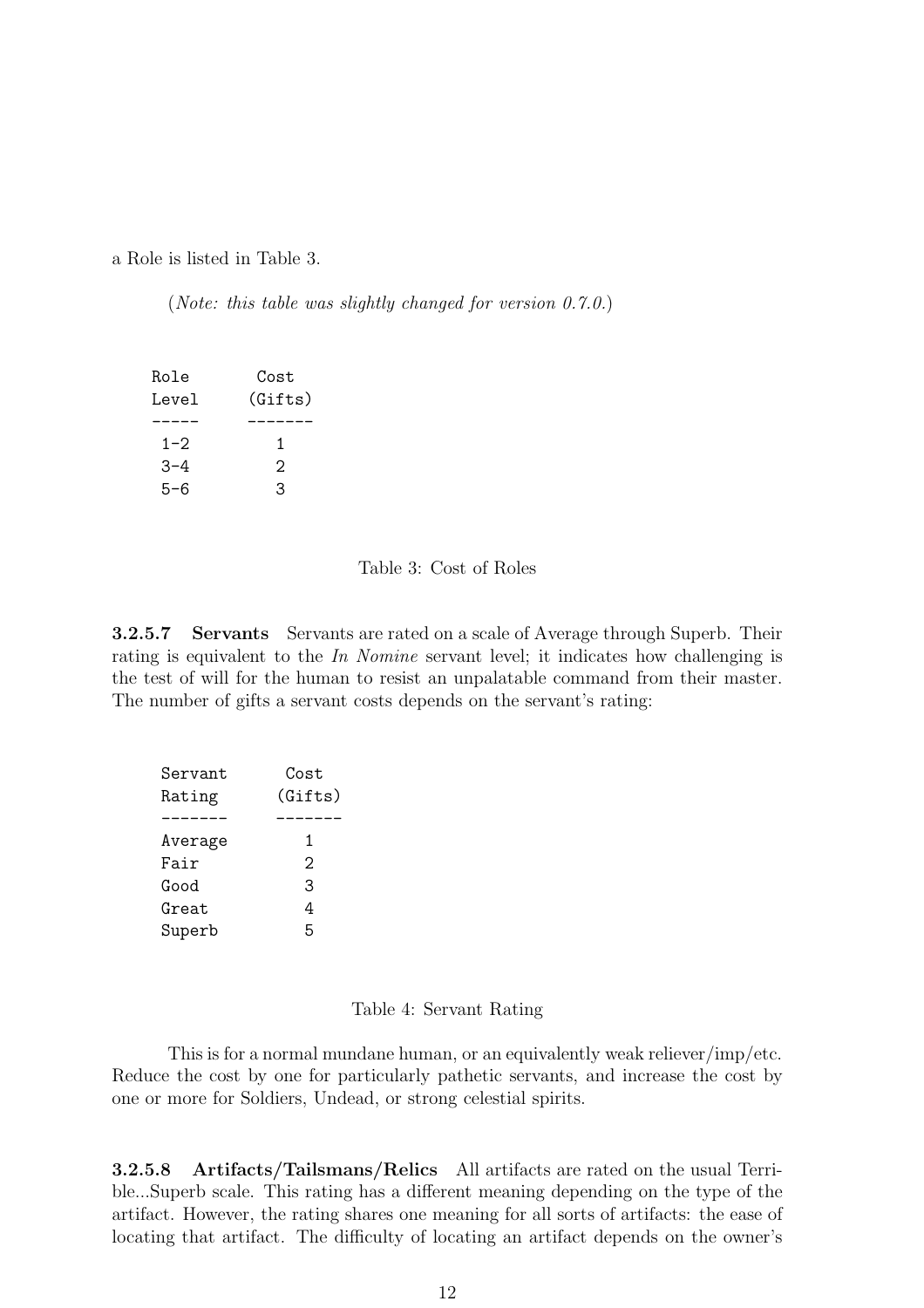a Role is listed in Table 3.

(*Note: this table was slightly changed for version 0.7.0.*)

| Role    | Cost    |
|---------|---------|
| Level   | (Gifts) |
|         |         |
| $1 - 2$ | 1       |
| $3 - 4$ | 2       |
| 5-6     | 3       |

#### Table 3: Cost of Roles

3.2.5.7 Servants Servants are rated on a scale of Average through Superb. Their rating is equivalent to the *In Nomine* servant level; it indicates how challenging is the test of will for the human to resist an unpalatable command from their master. The number of gifts a servant costs depends on the servant's rating:

| Servant | Cost    |
|---------|---------|
| Rating  | (Gifts) |
|         |         |
| Average | 1       |
| Fair    | 2       |
| Good    | 3       |
| Great   | 4       |
| Superb  | 5       |

#### Table 4: Servant Rating

This is for a normal mundane human, or an equivalently weak reliever/imp/etc. Reduce the cost by one for particularly pathetic servants, and increase the cost by one or more for Soldiers, Undead, or strong celestial spirits.

3.2.5.8 Artifacts/Tailsmans/Relics All artifacts are rated on the usual Terrible...Superb scale. This rating has a different meaning depending on the type of the artifact. However, the rating shares one meaning for all sorts of artifacts: the ease of locating that artifact. The difficulty of locating an artifact depends on the owner's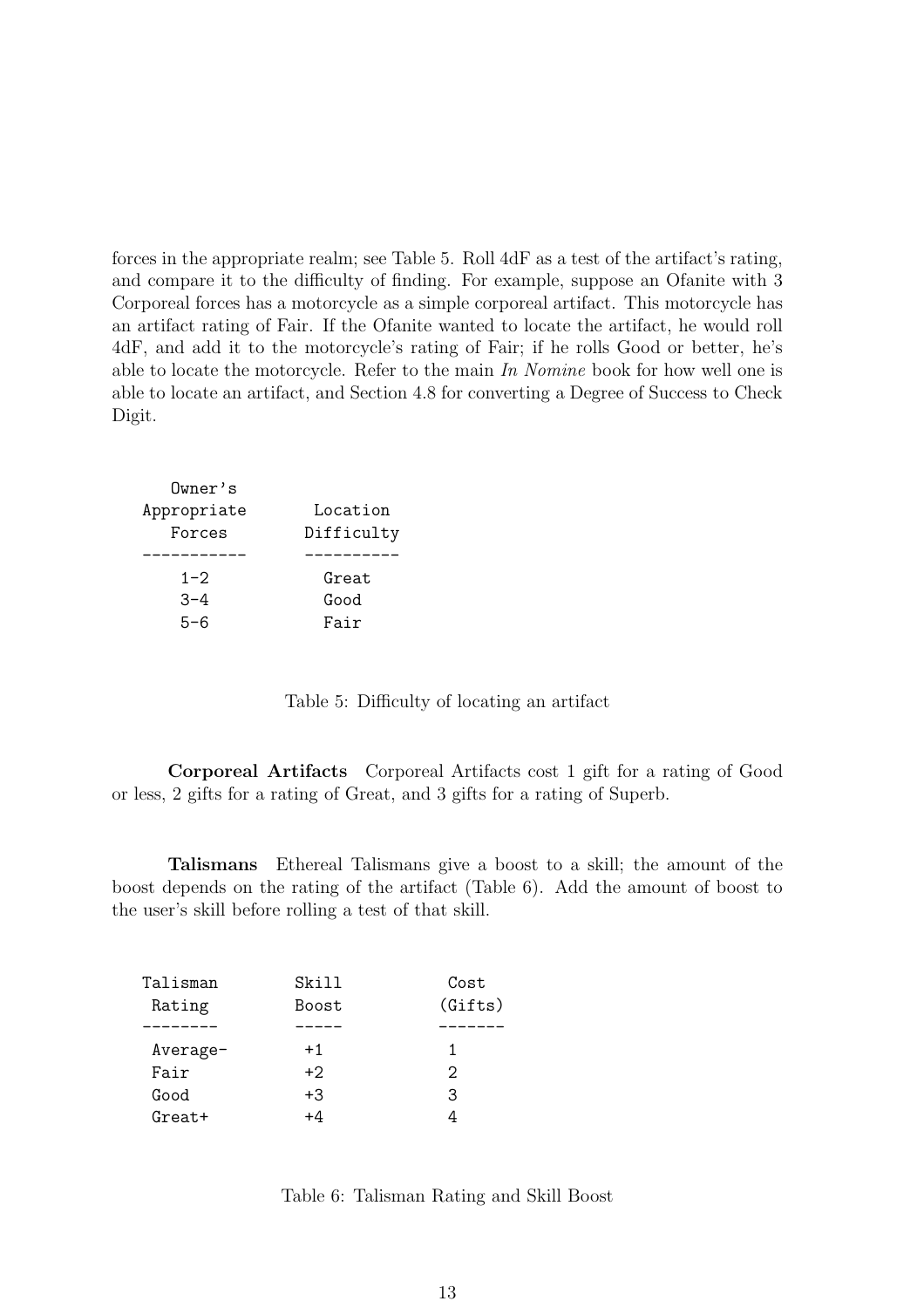forces in the appropriate realm; see Table 5. Roll 4dF as a test of the artifact's rating, and compare it to the difficulty of finding. For example, suppose an Ofanite with 3 Corporeal forces has a motorcycle as a simple corporeal artifact. This motorcycle has an artifact rating of Fair. If the Ofanite wanted to locate the artifact, he would roll 4dF, and add it to the motorcycle's rating of Fair; if he rolls Good or better, he's able to locate the motorcycle. Refer to the main *In Nomine* book for how well one is able to locate an artifact, and Section 4.8 for converting a Degree of Success to Check Digit.

| Owner's     |            |
|-------------|------------|
| Appropriate | Location   |
| Forces      | Difficulty |
|             |            |
| $1 - 2$     | Great      |
| $-3-4$      | Good       |
| 5-6         | Fair       |
|             |            |

Table 5: Difficulty of locating an artifact

Corporeal Artifacts Corporeal Artifacts cost 1 gift for a rating of Good or less, 2 gifts for a rating of Great, and 3 gifts for a rating of Superb.

Talismans Ethereal Talismans give a boost to a skill; the amount of the boost depends on the rating of the artifact (Table 6). Add the amount of boost to the user's skill before rolling a test of that skill.

| Talisman | Skill        | Cost    |
|----------|--------------|---------|
| Rating   | <b>Boost</b> | (Gifts) |
|          |              |         |
| Average- | $+1$         |         |
| Fair     | $+2$         | 2       |
| Good     | $+3$         | З       |
| $Great+$ | +4           |         |

Table 6: Talisman Rating and Skill Boost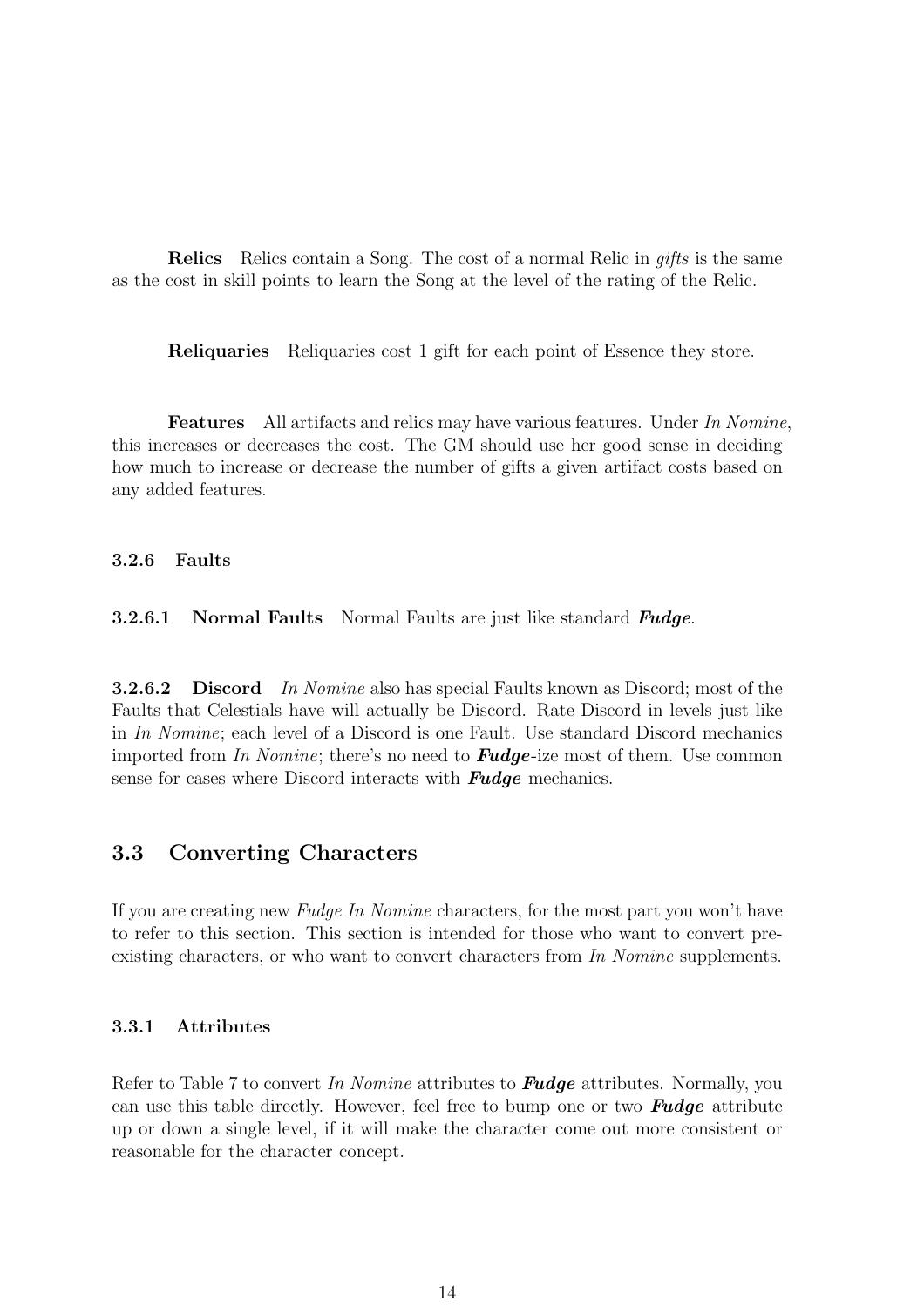Relics Relics contain a Song. The cost of a normal Relic in *gifts* is the same as the cost in skill points to learn the Song at the level of the rating of the Relic.

Reliquaries Reliquaries cost 1 gift for each point of Essence they store.

Features All artifacts and relics may have various features. Under *In Nomine*, this increases or decreases the cost. The GM should use her good sense in deciding how much to increase or decrease the number of gifts a given artifact costs based on any added features.

#### 3.2.6 Faults

**3.2.6.1** Normal Faults Normal Faults are just like standard  $\boldsymbol{F} \boldsymbol{u} \boldsymbol{d} \boldsymbol{q} \boldsymbol{e}$ .

3.2.6.2 Discord *In Nomine* also has special Faults known as Discord; most of the Faults that Celestials have will actually be Discord. Rate Discord in levels just like in *In Nomine*; each level of a Discord is one Fault. Use standard Discord mechanics imported from *In Nomine*; there's no need to Fudge-ize most of them. Use common sense for cases where Discord interacts with **Fudge** mechanics.

## 3.3 Converting Characters

If you are creating new *Fudge In Nomine* characters, for the most part you won't have to refer to this section. This section is intended for those who want to convert preexisting characters, or who want to convert characters from *In Nomine* supplements.

#### 3.3.1 Attributes

Refer to Table 7 to convert *In Nomine* attributes to Fudge attributes. Normally, you can use this table directly. However, feel free to bump one or two **Fudge** attribute up or down a single level, if it will make the character come out more consistent or reasonable for the character concept.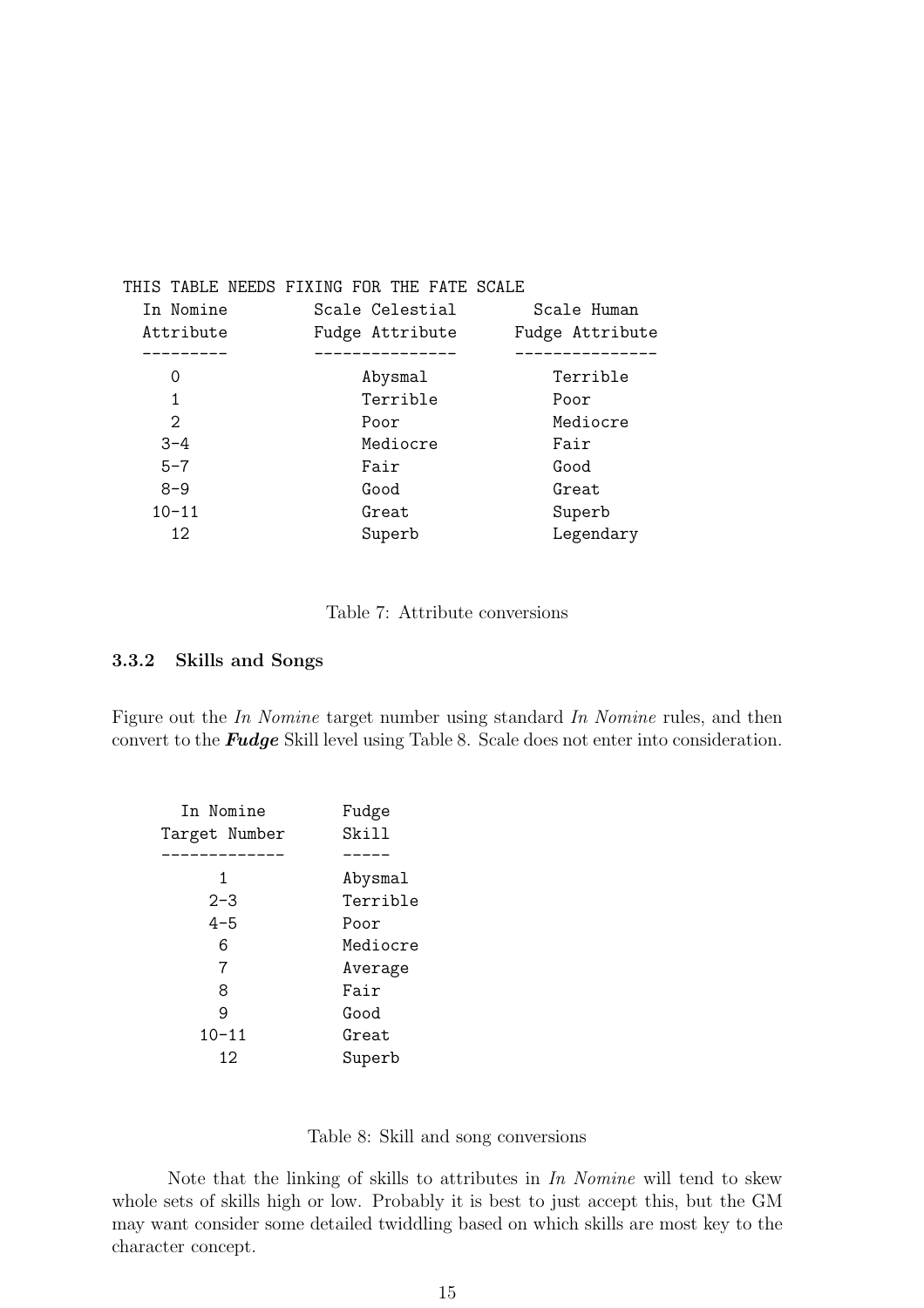|           | THIS TABLE NEEDS FIXING FOR THE FATE SCALE |                 |
|-----------|--------------------------------------------|-----------------|
| In Nomine | Scale Celestial                            | Scale Human     |
| Attribute | Fudge Attribute                            | Fudge Attribute |
|           |                                            |                 |
| $\Omega$  | Abysmal                                    | Terrible        |
| 1         | Terrible                                   | Poor            |
| 2         | Poor                                       | Mediocre        |
| $3 - 4$   | Mediocre                                   | Fair            |
| $5 - 7$   | Fair                                       | Good            |
| $8 - 9$   | Good                                       | Great           |
| $10 - 11$ | Great                                      | Superb          |
| 12.       | Superb                                     | Legendary       |

Table 7: Attribute conversions

#### 3.3.2 Skills and Songs

Figure out the *In Nomine* target number using standard *In Nomine* rules, and then convert to the Fudge Skill level using Table 8. Scale does not enter into consideration.

| In Nomine     | Fudge    |
|---------------|----------|
| Target Number | Skill    |
|               |          |
| 1             | Abysmal  |
| $2 - 3$       | Terrible |
| $4 - 5$       | Poor     |
| 6             | Mediocre |
| 7             | Average  |
| 8             | Fair     |
| 9             | Good     |
| $10 - 11$     | Great    |
| 12.           | Superb   |
|               |          |

|  |  |  |  |  |  | Table 8: Skill and song conversions |
|--|--|--|--|--|--|-------------------------------------|
|--|--|--|--|--|--|-------------------------------------|

Note that the linking of skills to attributes in *In Nomine* will tend to skew whole sets of skills high or low. Probably it is best to just accept this, but the GM may want consider some detailed twiddling based on which skills are most key to the character concept.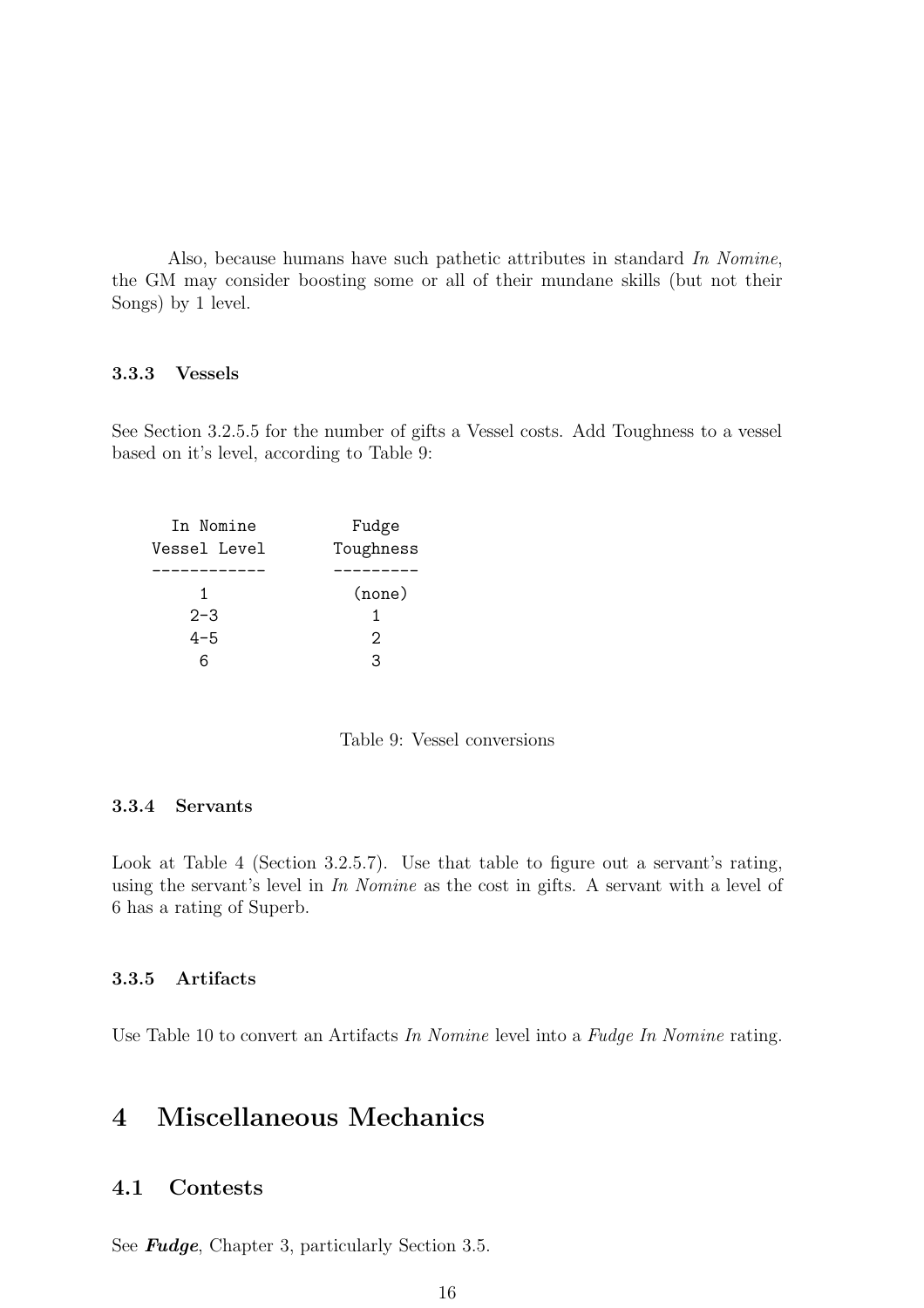Also, because humans have such pathetic attributes in standard *In Nomine*, the GM may consider boosting some or all of their mundane skills (but not their Songs) by 1 level.

#### 3.3.3 Vessels

See Section 3.2.5.5 for the number of gifts a Vessel costs. Add Toughness to a vessel based on it's level, according to Table 9:

| In Nomine    | Fudge             |  |
|--------------|-------------------|--|
| Vessel Level | Toughness         |  |
|              |                   |  |
| 1            | (none)            |  |
| $2 - 3$      | 1                 |  |
| $4 - 5$      | $\mathcal{D}_{1}$ |  |
| ิค           | 3                 |  |
|              |                   |  |

Table 9: Vessel conversions

#### 3.3.4 Servants

Look at Table 4 (Section 3.2.5.7). Use that table to figure out a servant's rating, using the servant's level in *In Nomine* as the cost in gifts. A servant with a level of 6 has a rating of Superb.

## 3.3.5 Artifacts

Use Table 10 to convert an Artifacts *In Nomine* level into a *Fudge In Nomine* rating.

# 4 Miscellaneous Mechanics

## 4.1 Contests

See **Fudge**, Chapter 3, particularly Section 3.5.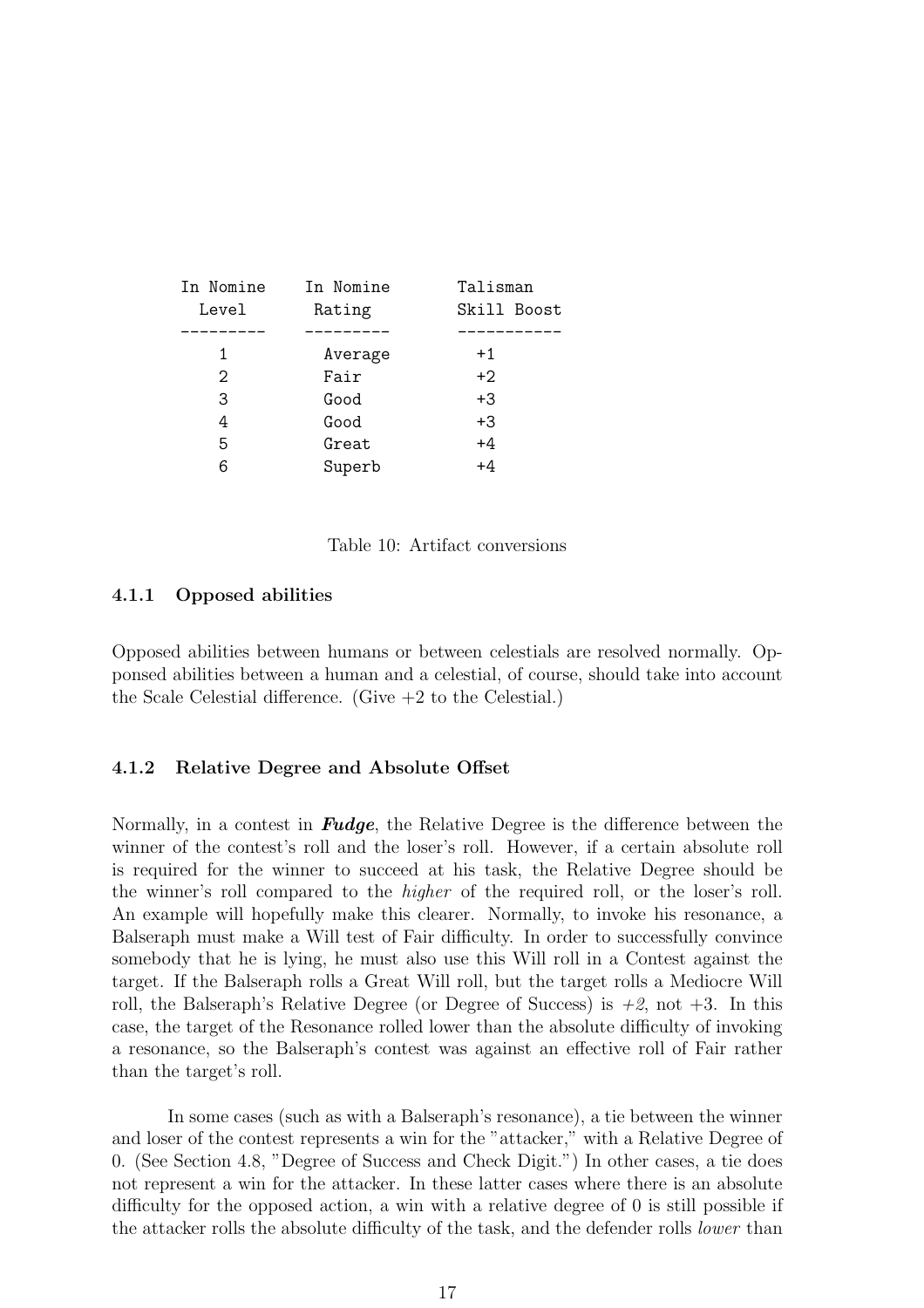| In Nomine         | In Nomine | Talisman    |
|-------------------|-----------|-------------|
| Level             | Rating    | Skill Boost |
|                   |           |             |
| 1                 | Average   | $+1$        |
| $\mathcal{D}_{1}$ | Fair      | $+2$        |
| 3                 | Good      | +3          |
| 4                 | Good      | $+3$        |
| 5                 | Great     | $+4$        |
| 6                 | Superb    | +4          |
|                   |           |             |

Table 10: Artifact conversions

#### 4.1.1 Opposed abilities

Opposed abilities between humans or between celestials are resolved normally. Opponsed abilities between a human and a celestial, of course, should take into account the Scale Celestial difference. (Give  $+2$  to the Celestial.)

#### 4.1.2 Relative Degree and Absolute Offset

Normally, in a contest in **Fudge**, the Relative Degree is the difference between the winner of the contest's roll and the loser's roll. However, if a certain absolute roll is required for the winner to succeed at his task, the Relative Degree should be the winner's roll compared to the *higher* of the required roll, or the loser's roll. An example will hopefully make this clearer. Normally, to invoke his resonance, a Balseraph must make a Will test of Fair difficulty. In order to successfully convince somebody that he is lying, he must also use this Will roll in a Contest against the target. If the Balseraph rolls a Great Will roll, but the target rolls a Mediocre Will roll, the Balseraph's Relative Degree (or Degree of Success) is  $+2$ , not  $+3$ . In this case, the target of the Resonance rolled lower than the absolute difficulty of invoking a resonance, so the Balseraph's contest was against an effective roll of Fair rather than the target's roll.

In some cases (such as with a Balseraph's resonance), a tie between the winner and loser of the contest represents a win for the "attacker," with a Relative Degree of 0. (See Section 4.8, "Degree of Success and Check Digit.") In other cases, a tie does not represent a win for the attacker. In these latter cases where there is an absolute difficulty for the opposed action, a win with a relative degree of 0 is still possible if the attacker rolls the absolute difficulty of the task, and the defender rolls *lower* than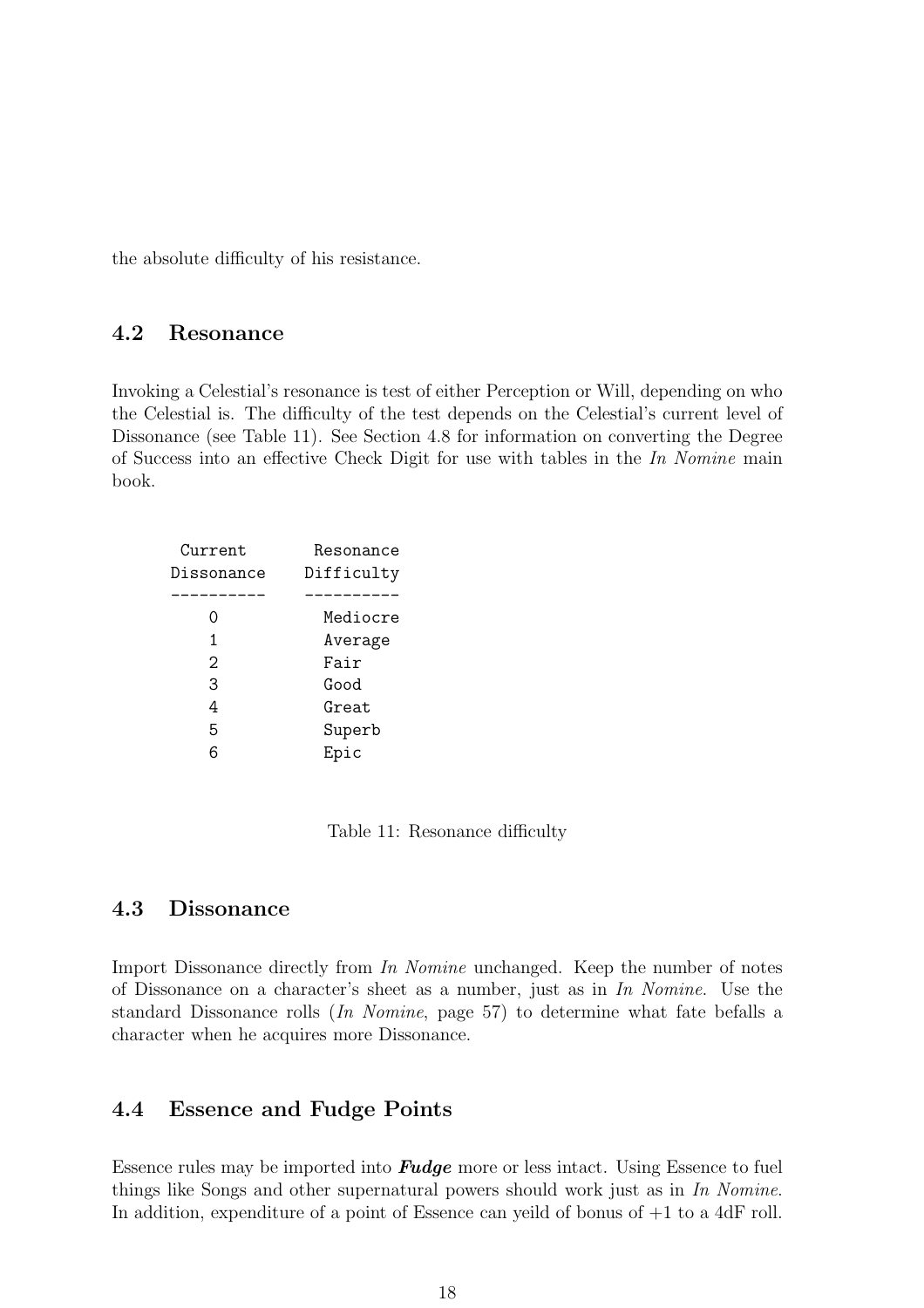the absolute difficulty of his resistance.

## 4.2 Resonance

Invoking a Celestial's resonance is test of either Perception or Will, depending on who the Celestial is. The difficulty of the test depends on the Celestial's current level of Dissonance (see Table 11). See Section 4.8 for information on converting the Degree of Success into an effective Check Digit for use with tables in the *In Nomine* main book.

| Difficulty |
|------------|
|            |
|            |
| Mediocre   |
| Average    |
| Fair       |
| Good       |
| Great      |
| Superb     |
| Epic       |
|            |

Table 11: Resonance difficulty

## 4.3 Dissonance

Import Dissonance directly from *In Nomine* unchanged. Keep the number of notes of Dissonance on a character's sheet as a number, just as in *In Nomine*. Use the standard Dissonance rolls (*In Nomine*, page 57) to determine what fate befalls a character when he acquires more Dissonance.

## 4.4 Essence and Fudge Points

Essence rules may be imported into **Fudge** more or less intact. Using Essence to fuel things like Songs and other supernatural powers should work just as in *In Nomine*. In addition, expenditure of a point of Essence can yeild of bonus of  $+1$  to a 4dF roll.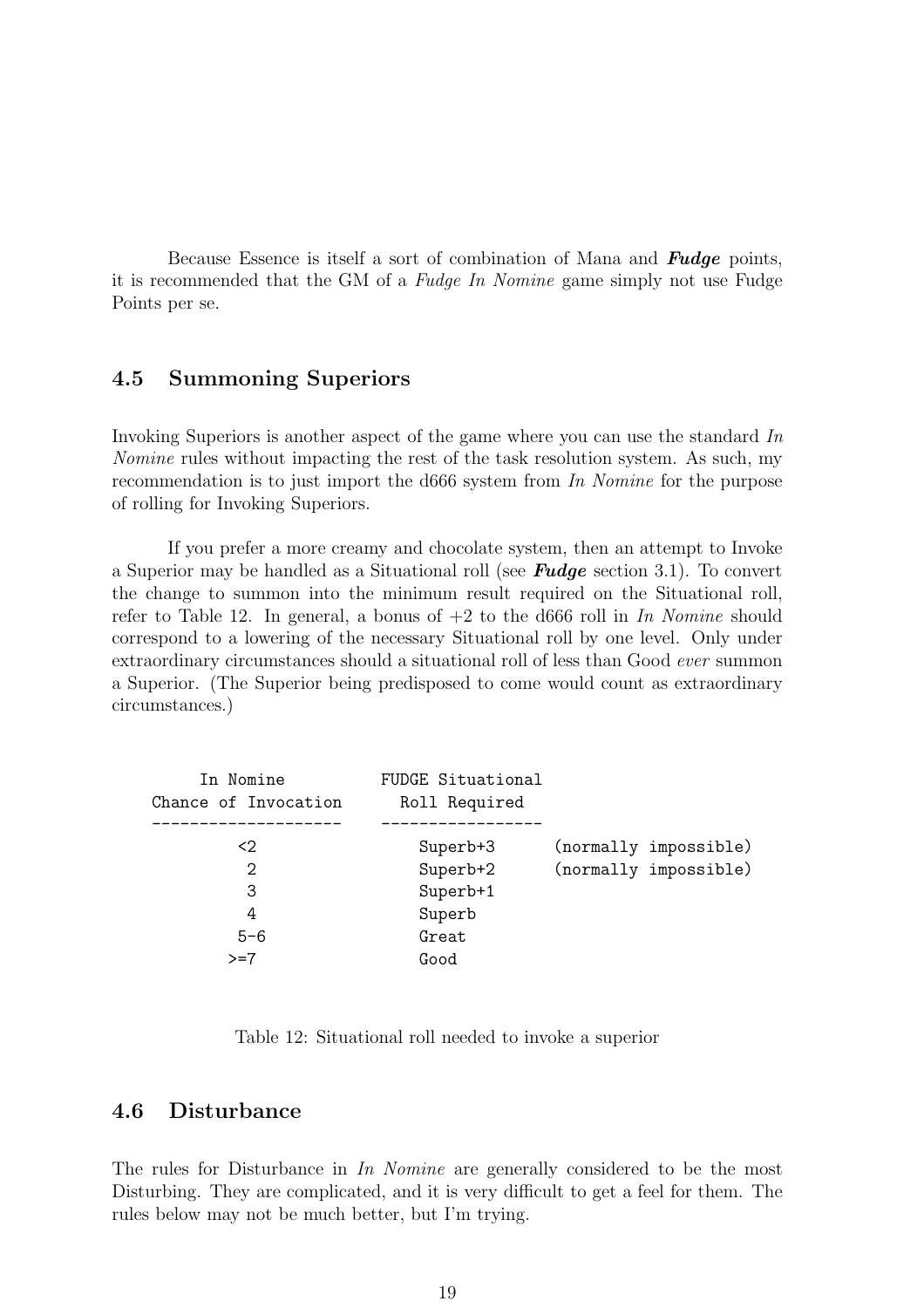Because Essence is itself a sort of combination of Mana and **Fudge** points, it is recommended that the GM of a *Fudge In Nomine* game simply not use Fudge Points per se.

## 4.5 Summoning Superiors

Invoking Superiors is another aspect of the game where you can use the standard *In Nomine* rules without impacting the rest of the task resolution system. As such, my recommendation is to just import the d666 system from *In Nomine* for the purpose of rolling for Invoking Superiors.

If you prefer a more creamy and chocolate system, then an attempt to Invoke a Superior may be handled as a Situational roll (see **Fudge** section 3.1). To convert the change to summon into the minimum result required on the Situational roll, refer to Table 12. In general, a bonus of +2 to the d666 roll in *In Nomine* should correspond to a lowering of the necessary Situational roll by one level. Only under extraordinary circumstances should a situational roll of less than Good *ever* summon a Superior. (The Superior being predisposed to come would count as extraordinary circumstances.)

| In Nomine<br>Chance of Invocation | FUDGE Situational<br>Roll Required |                       |
|-----------------------------------|------------------------------------|-----------------------|
| $\langle 2 \rangle$               | Superb+3                           | (normally impossible) |
| $\mathcal{D}_{1}$                 | Superb+2                           | (normally impossible) |
| 3                                 | Superb+1                           |                       |
| 4                                 | Superb                             |                       |
| $5 - 6$                           | Great                              |                       |
| $>=7$                             | Good                               |                       |
|                                   |                                    |                       |

Table 12: Situational roll needed to invoke a superior

## 4.6 Disturbance

The rules for Disturbance in *In Nomine* are generally considered to be the most Disturbing. They are complicated, and it is very difficult to get a feel for them. The rules below may not be much better, but I'm trying.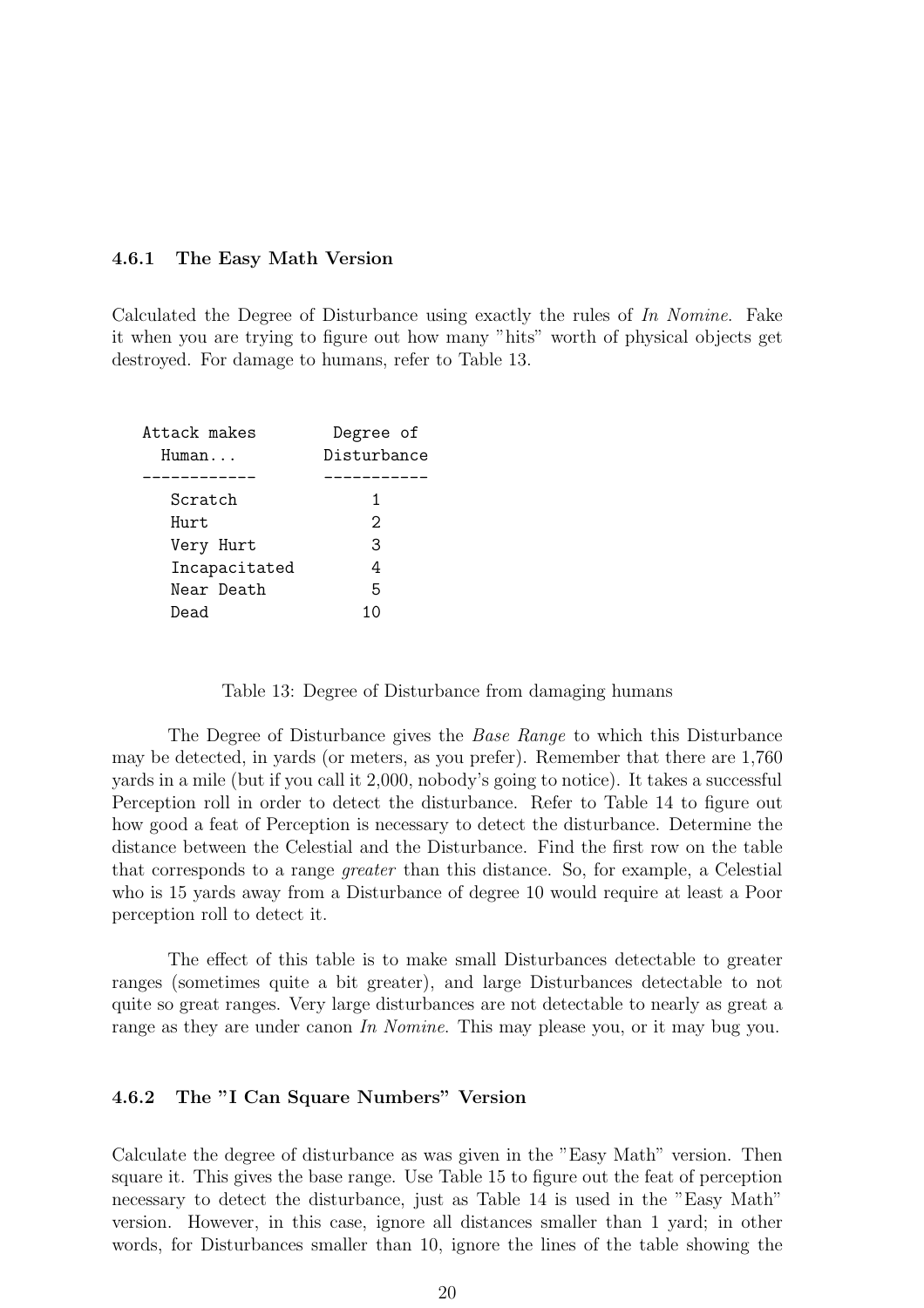#### 4.6.1 The Easy Math Version

Calculated the Degree of Disturbance using exactly the rules of *In Nomine*. Fake it when you are trying to figure out how many "hits" worth of physical objects get destroyed. For damage to humans, refer to Table 13.

| Attack makes  | Degree of         |
|---------------|-------------------|
| Human         | Disturbance       |
|               |                   |
| Scratch       | 1                 |
| Hurt          | $\mathcal{D}_{1}$ |
| Very Hurt     | З                 |
| Incapacitated | 4                 |
| Near Death    | 5                 |
| Dead          | 10                |

Table 13: Degree of Disturbance from damaging humans

The Degree of Disturbance gives the *Base Range* to which this Disturbance may be detected, in yards (or meters, as you prefer). Remember that there are 1,760 yards in a mile (but if you call it 2,000, nobody's going to notice). It takes a successful Perception roll in order to detect the disturbance. Refer to Table 14 to figure out how good a feat of Perception is necessary to detect the disturbance. Determine the distance between the Celestial and the Disturbance. Find the first row on the table that corresponds to a range *greater* than this distance. So, for example, a Celestial who is 15 yards away from a Disturbance of degree 10 would require at least a Poor perception roll to detect it.

The effect of this table is to make small Disturbances detectable to greater ranges (sometimes quite a bit greater), and large Disturbances detectable to not quite so great ranges. Very large disturbances are not detectable to nearly as great a range as they are under canon *In Nomine*. This may please you, or it may bug you.

#### 4.6.2 The "I Can Square Numbers" Version

Calculate the degree of disturbance as was given in the "Easy Math" version. Then square it. This gives the base range. Use Table 15 to figure out the feat of perception necessary to detect the disturbance, just as Table 14 is used in the "Easy Math" version. However, in this case, ignore all distances smaller than 1 yard; in other words, for Disturbances smaller than 10, ignore the lines of the table showing the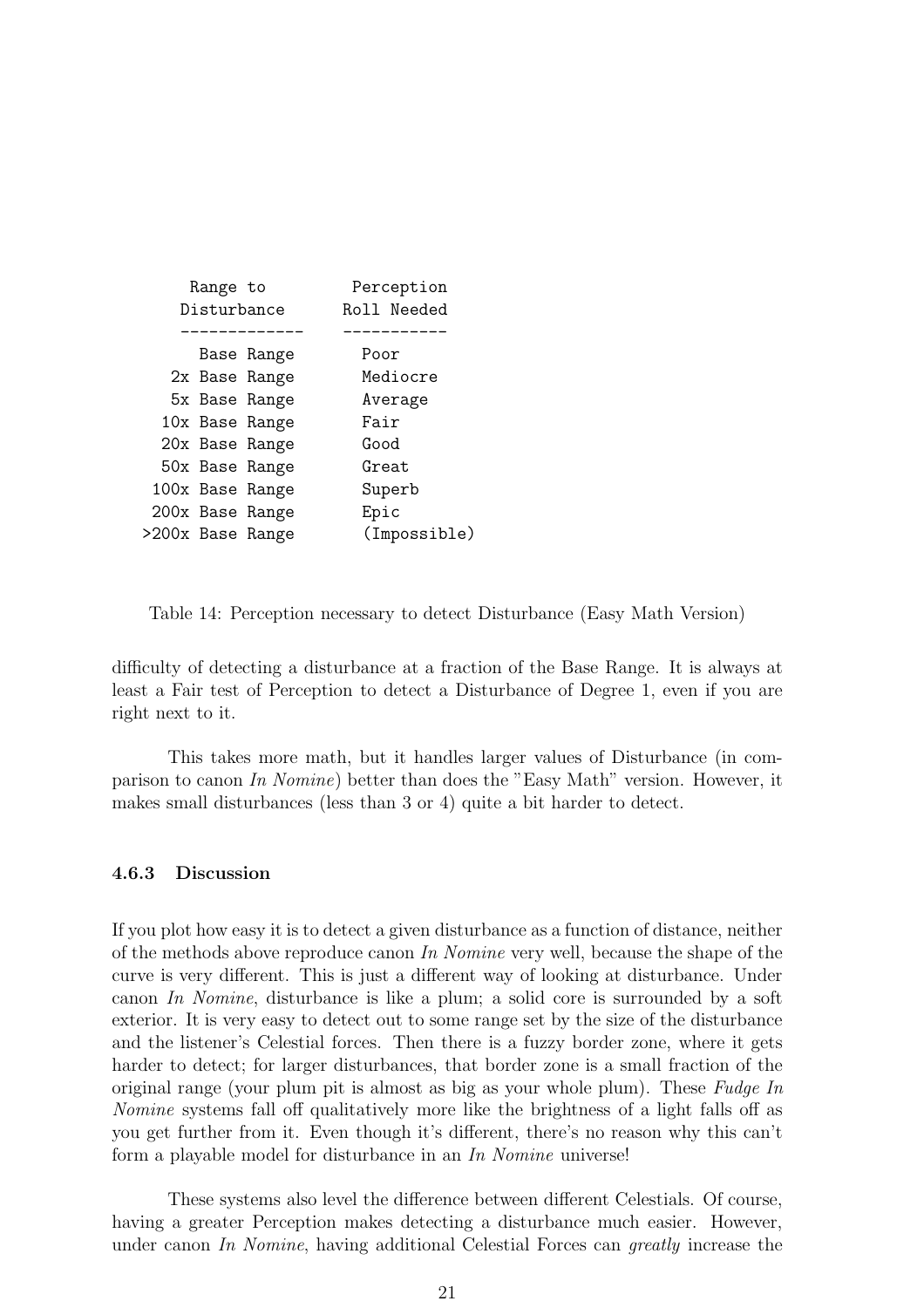|             | Range to |                  | Perception   |
|-------------|----------|------------------|--------------|
| Disturbance |          |                  | Roll Needed  |
|             |          |                  |              |
|             |          | Base Range       | Poor         |
|             |          | 2x Base Range    | Mediocre     |
|             |          | 5x Base Range    | Average      |
|             |          | 10x Base Range   | Fair         |
|             |          | 20x Base Range   | Good         |
|             |          | 50x Base Range   | Great        |
|             |          | 100x Base Range  | Superb       |
|             |          | 200x Base Range  | Epic         |
|             |          | >200x Base Range | (Impossible) |

Table 14: Perception necessary to detect Disturbance (Easy Math Version)

difficulty of detecting a disturbance at a fraction of the Base Range. It is always at least a Fair test of Perception to detect a Disturbance of Degree 1, even if you are right next to it.

This takes more math, but it handles larger values of Disturbance (in comparison to canon *In Nomine*) better than does the "Easy Math" version. However, it makes small disturbances (less than 3 or 4) quite a bit harder to detect.

#### 4.6.3 Discussion

If you plot how easy it is to detect a given disturbance as a function of distance, neither of the methods above reproduce canon *In Nomine* very well, because the shape of the curve is very different. This is just a different way of looking at disturbance. Under canon *In Nomine*, disturbance is like a plum; a solid core is surrounded by a soft exterior. It is very easy to detect out to some range set by the size of the disturbance and the listener's Celestial forces. Then there is a fuzzy border zone, where it gets harder to detect; for larger disturbances, that border zone is a small fraction of the original range (your plum pit is almost as big as your whole plum). These *Fudge In Nomine* systems fall off qualitatively more like the brightness of a light falls off as you get further from it. Even though it's different, there's no reason why this can't form a playable model for disturbance in an *In Nomine* universe!

These systems also level the difference between different Celestials. Of course, having a greater Perception makes detecting a disturbance much easier. However, under canon *In Nomine*, having additional Celestial Forces can *greatly* increase the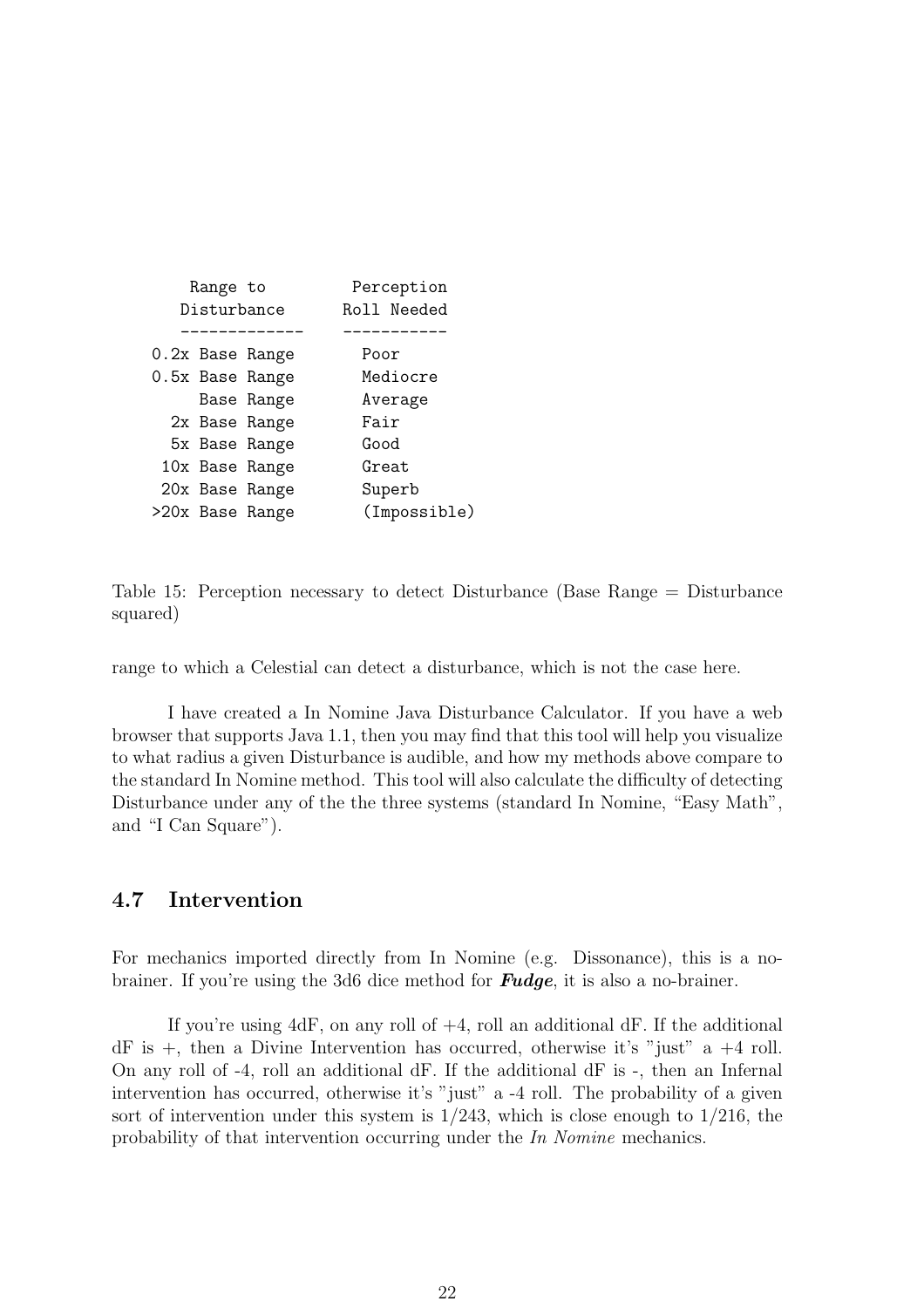|             | Range to |                 | Perception   |
|-------------|----------|-----------------|--------------|
| Disturbance |          |                 | Roll Needed  |
|             |          |                 |              |
|             |          | 0.2x Base Range | Poor         |
|             |          | 0.5x Base Range | Mediocre     |
|             |          | Base Range      | Average      |
|             |          | 2x Base Range   | Fair         |
|             |          | 5x Base Range   | Good         |
|             |          | 10x Base Range  | Great        |
|             |          | 20x Base Range  | Superb       |
|             |          | >20x Base Range | (Impossible) |

Table 15: Perception necessary to detect Disturbance (Base Range = Disturbance squared)

range to which a Celestial can detect a disturbance, which is not the case here.

I have created a In Nomine Java Disturbance Calculator. If you have a web browser that supports Java 1.1, then you may find that this tool will help you visualize to what radius a given Disturbance is audible, and how my methods above compare to the standard In Nomine method. This tool will also calculate the difficulty of detecting Disturbance under any of the the three systems (standard In Nomine, "Easy Math", and "I Can Square").

## 4.7 Intervention

For mechanics imported directly from In Nomine (e.g. Dissonance), this is a nobrainer. If you're using the 3d6 dice method for **Fudge**, it is also a no-brainer.

If you're using  $4dF$ , on any roll of  $+4$ , roll an additional dF. If the additional  $dF$  is  $+$ , then a Divine Intervention has occurred, otherwise it's "just" a  $+4$  roll. On any roll of -4, roll an additional dF. If the additional dF is -, then an Infernal intervention has occurred, otherwise it's "just" a -4 roll. The probability of a given sort of intervention under this system is  $1/243$ , which is close enough to  $1/216$ , the probability of that intervention occurring under the *In Nomine* mechanics.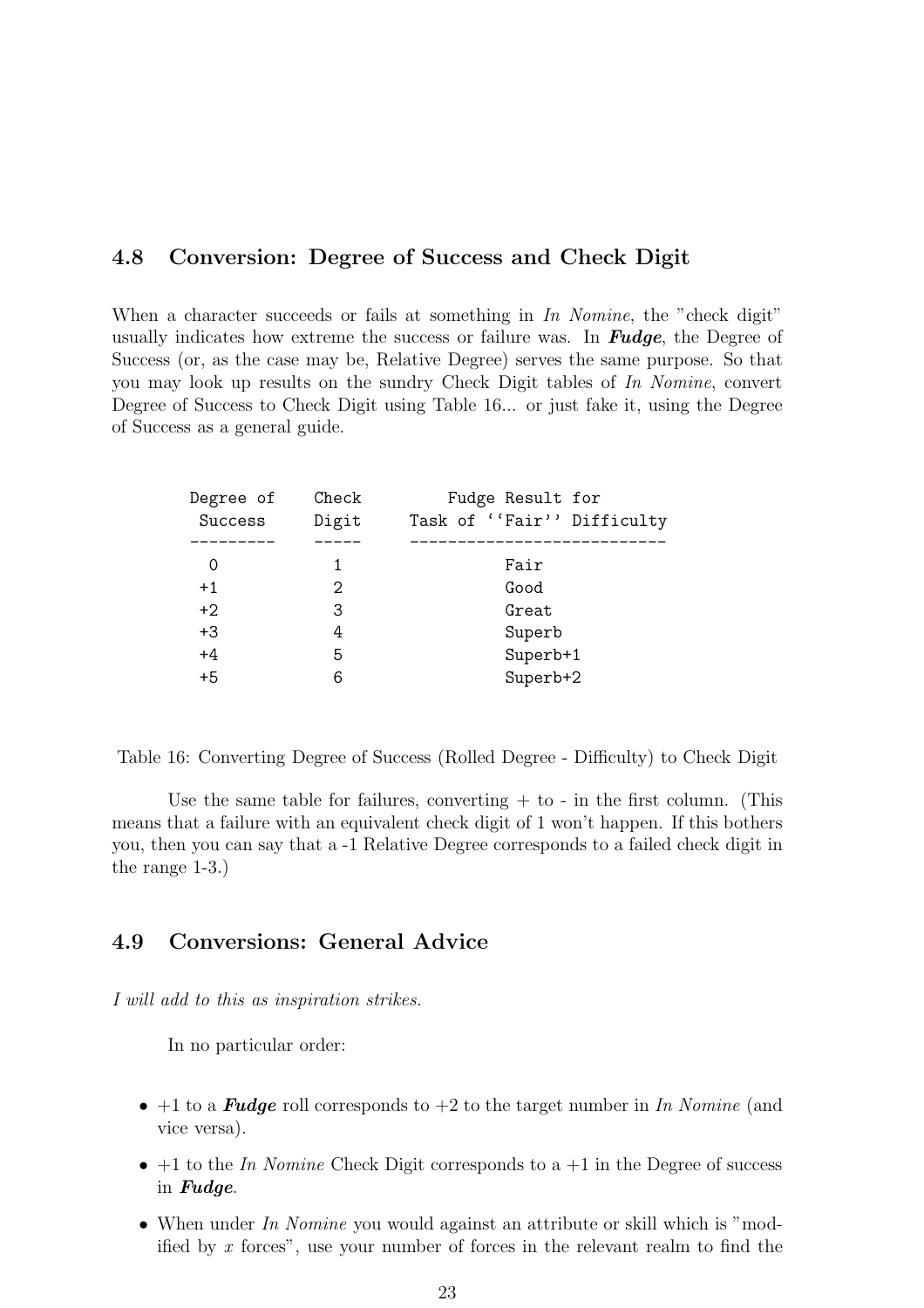## 4.8 Conversion: Degree of Success and Check Digit

When a character succeeds or fails at something in *In Nomine*, the "check digit" usually indicates how extreme the success or failure was. In **Fudge**, the Degree of Success (or, as the case may be, Relative Degree) serves the same purpose. So that you may look up results on the sundry Check Digit tables of *In Nomine*, convert Degree of Success to Check Digit using Table 16... or just fake it, using the Degree of Success as a general guide.

| Degree of | Check | Fudge Result for            |
|-----------|-------|-----------------------------|
| Success   | Digit | Task of ''Fair'' Difficulty |
|           |       |                             |
| O         |       | Fair                        |
| $+1$      | 2     | Good                        |
| $+2$      | З     | Great                       |
| $+3$      | 4     | Superb                      |
| $+4$      | 5     | Superb+1                    |
| $+5$      | 6     | Superb+2                    |
|           |       |                             |

Table 16: Converting Degree of Success (Rolled Degree - Difficulty) to Check Digit

Use the same table for failures, converting  $+$  to  $-$  in the first column. (This means that a failure with an equivalent check digit of 1 won't happen. If this bothers you, then you can say that a -1 Relative Degree corresponds to a failed check digit in the range 1-3.)

## 4.9 Conversions: General Advice

*I will add to this as inspiration strikes.*

In no particular order:

- +1 to a Fudge roll corresponds to +2 to the target number in *In Nomine* (and vice versa).
- $\bullet$  +1 to the *In Nomine* Check Digit corresponds to a +1 in the Degree of success in Fudge.
- When under *In Nomine* you would against an attribute or skill which is "modified by *x* forces", use your number of forces in the relevant realm to find the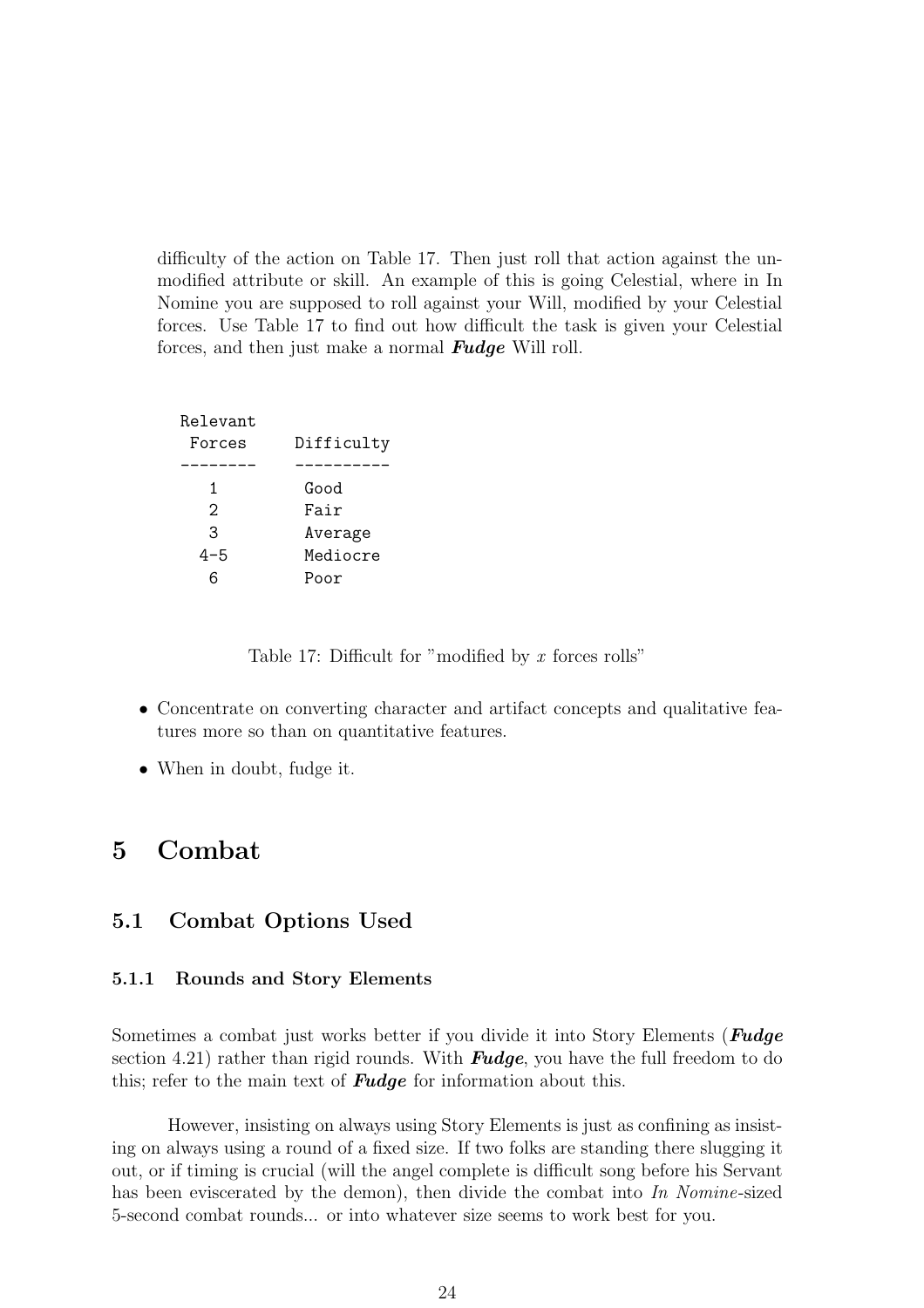difficulty of the action on Table 17. Then just roll that action against the unmodified attribute or skill. An example of this is going Celestial, where in In Nomine you are supposed to roll against your Will, modified by your Celestial forces. Use Table 17 to find out how difficult the task is given your Celestial forces, and then just make a normal **Fudge** Will roll.

| Relevant<br>Forces | Difficulty |
|--------------------|------------|
|                    |            |
|                    |            |
| 1                  | Good       |
| 2                  | Fair       |
| 3                  | Average    |
| 4-5                | Mediocre   |
|                    | Poor       |

Table 17: Difficult for "modified by *x* forces rolls"

- Concentrate on converting character and artifact concepts and qualitative features more so than on quantitative features.
- When in doubt, fudge it.

# 5 Combat

## 5.1 Combat Options Used

#### 5.1.1 Rounds and Story Elements

Sometimes a combat just works better if you divide it into Story Elements (**Fudge** section 4.21) rather than rigid rounds. With **Fudge**, you have the full freedom to do this; refer to the main text of **Fudge** for information about this.

However, insisting on always using Story Elements is just as confining as insisting on always using a round of a fixed size. If two folks are standing there slugging it out, or if timing is crucial (will the angel complete is difficult song before his Servant has been eviscerated by the demon), then divide the combat into *In Nomine*-sized 5-second combat rounds... or into whatever size seems to work best for you.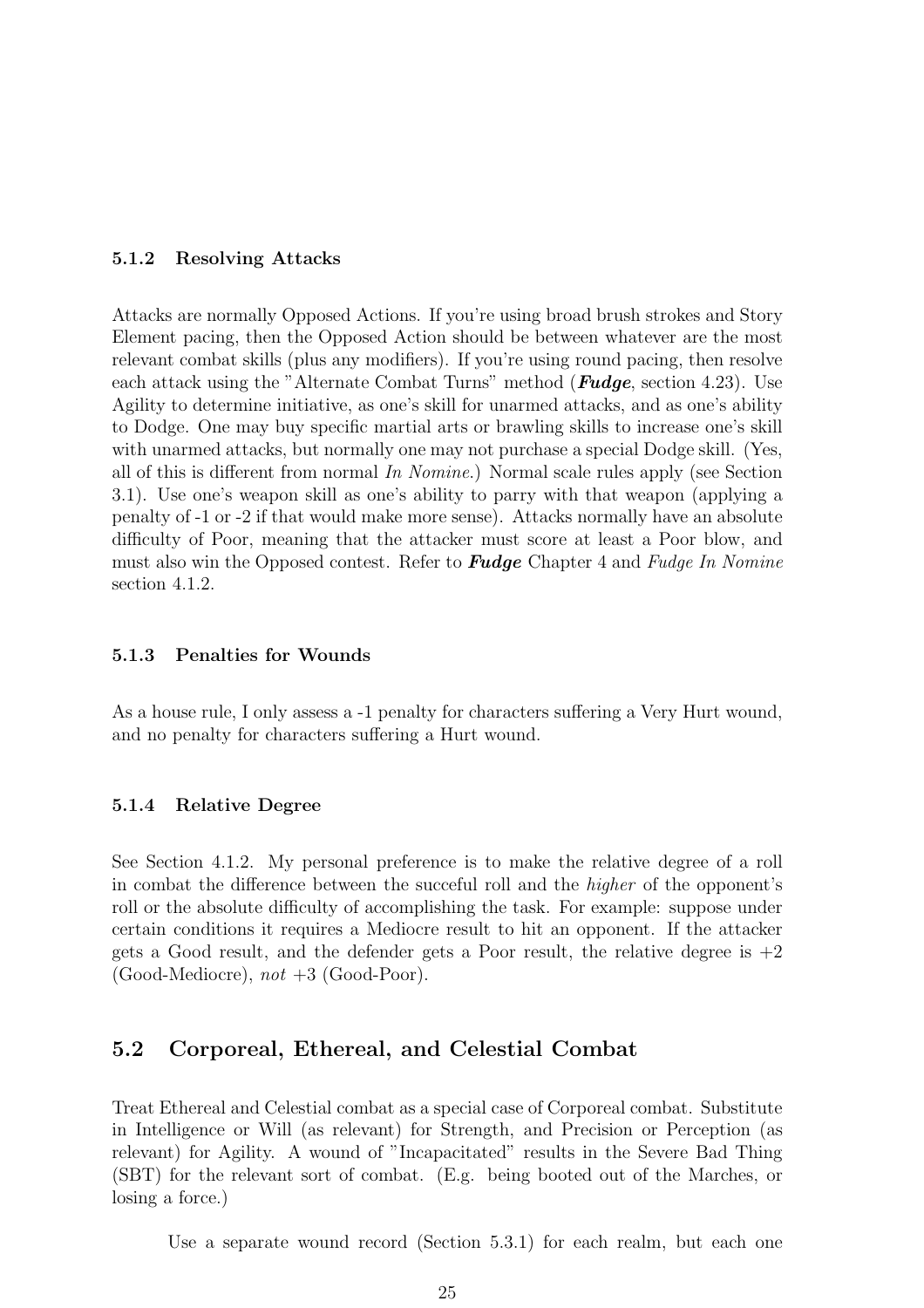#### 5.1.2 Resolving Attacks

Attacks are normally Opposed Actions. If you're using broad brush strokes and Story Element pacing, then the Opposed Action should be between whatever are the most relevant combat skills (plus any modifiers). If you're using round pacing, then resolve each attack using the "Alternate Combat Turns" method (**Fudge**, section 4.23). Use Agility to determine initiative, as one's skill for unarmed attacks, and as one's ability to Dodge. One may buy specific martial arts or brawling skills to increase one's skill with unarmed attacks, but normally one may not purchase a special Dodge skill. (Yes, all of this is different from normal *In Nomine*.) Normal scale rules apply (see Section 3.1). Use one's weapon skill as one's ability to parry with that weapon (applying a penalty of -1 or -2 if that would make more sense). Attacks normally have an absolute difficulty of Poor, meaning that the attacker must score at least a Poor blow, and must also win the Opposed contest. Refer to Fudge Chapter 4 and *Fudge In Nomine* section 4.1.2.

#### 5.1.3 Penalties for Wounds

As a house rule, I only assess a -1 penalty for characters suffering a Very Hurt wound, and no penalty for characters suffering a Hurt wound.

#### 5.1.4 Relative Degree

See Section 4.1.2. My personal preference is to make the relative degree of a roll in combat the difference between the succeful roll and the *higher* of the opponent's roll or the absolute difficulty of accomplishing the task. For example: suppose under certain conditions it requires a Mediocre result to hit an opponent. If the attacker gets a Good result, and the defender gets a Poor result, the relative degree is  $+2$ (Good-Mediocre), *not* +3 (Good-Poor).

## 5.2 Corporeal, Ethereal, and Celestial Combat

Treat Ethereal and Celestial combat as a special case of Corporeal combat. Substitute in Intelligence or Will (as relevant) for Strength, and Precision or Perception (as relevant) for Agility. A wound of "Incapacitated" results in the Severe Bad Thing (SBT) for the relevant sort of combat. (E.g. being booted out of the Marches, or losing a force.)

Use a separate wound record (Section 5.3.1) for each realm, but each one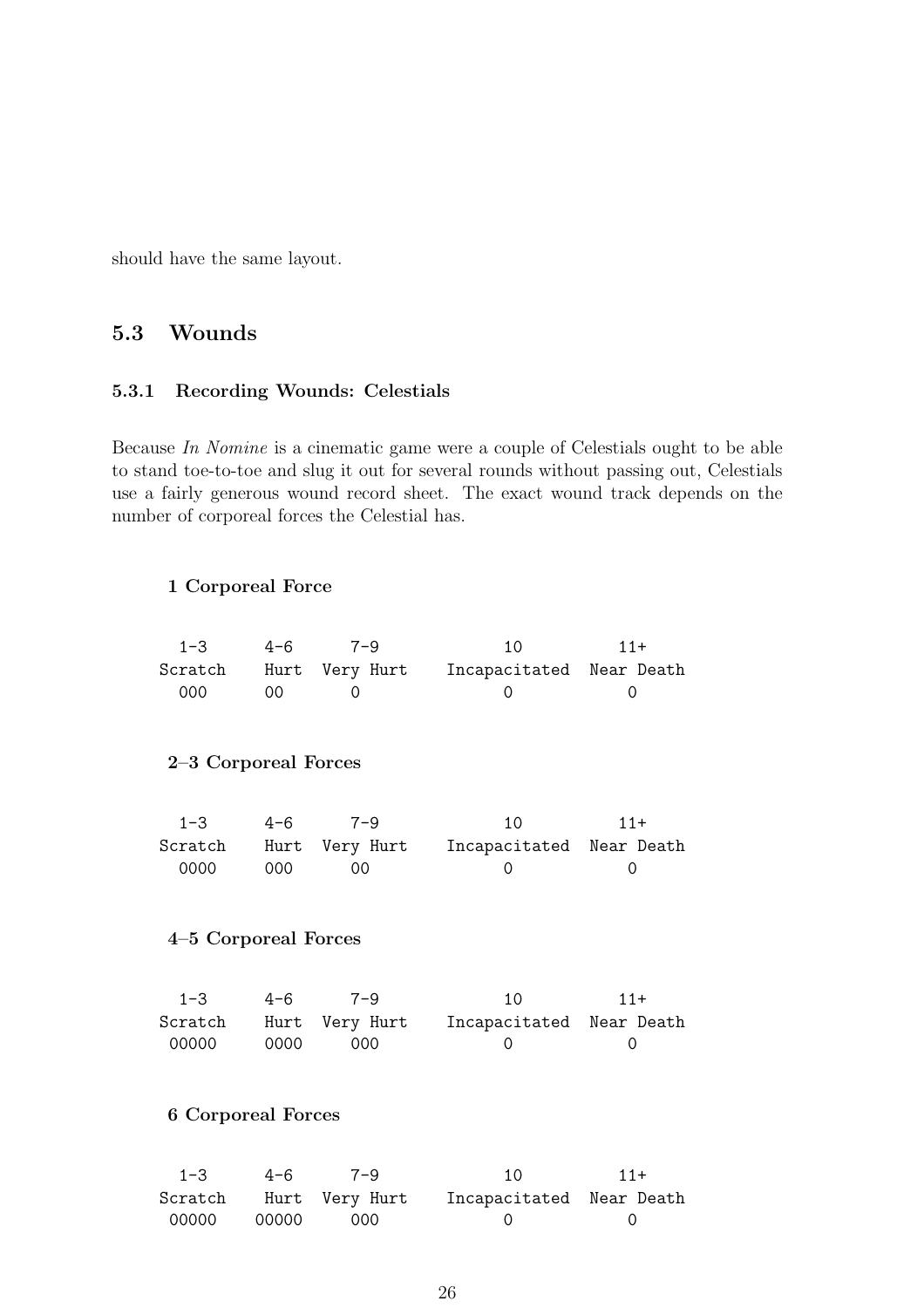should have the same layout.

## 5.3 Wounds

## 5.3.1 Recording Wounds: Celestials

Because *In Nomine* is a cinematic game were a couple of Celestials ought to be able to stand toe-to-toe and slug it out for several rounds without passing out, Celestials use a fairly generous wound record sheet. The exact wound track depends on the number of corporeal forces the Celestial has.

#### 1 Corporeal Force

| 1-3                       | $4 - 6$ | $7 - 9$  | 10                                              | $11+$ |
|---------------------------|---------|----------|-------------------------------------------------|-------|
|                           |         |          | Scratch Hurt Very Hurt Incapacitated Near Death |       |
| 000                       | 00      | $\Omega$ | 0                                               | 0     |
|                           |         |          |                                                 |       |
| 2–3 Corporeal Forces      |         |          |                                                 |       |
|                           |         |          |                                                 |       |
| $1 - 3$                   | 4-6     | $7 - 9$  | 10                                              | $11+$ |
|                           |         |          | Scratch Hurt Very Hurt Incapacitated Near Death |       |
| 0000                      | 000     | 00       | 0                                               | 0     |
| 4–5 Corporeal Forces      |         |          |                                                 |       |
|                           |         |          |                                                 |       |
| $1 - 3$                   | $4 - 6$ | $7 - 9$  | 10                                              | $11+$ |
| Scratch                   |         |          | Hurt Very Hurt Incapacitated Near Death         |       |
| 00000                     | 0000    | 000      | 0                                               | 0     |
|                           |         |          |                                                 |       |
| <b>6 Corporeal Forces</b> |         |          |                                                 |       |
| $1 - 3$                   | $4 - 6$ | $7 - 9$  | 10                                              | $11+$ |

|             |      | ,,,,                                            |  |
|-------------|------|-------------------------------------------------|--|
|             |      | Scratch Hurt Very Hurt Incapacitated Near Death |  |
| 00000 00000 | -000 |                                                 |  |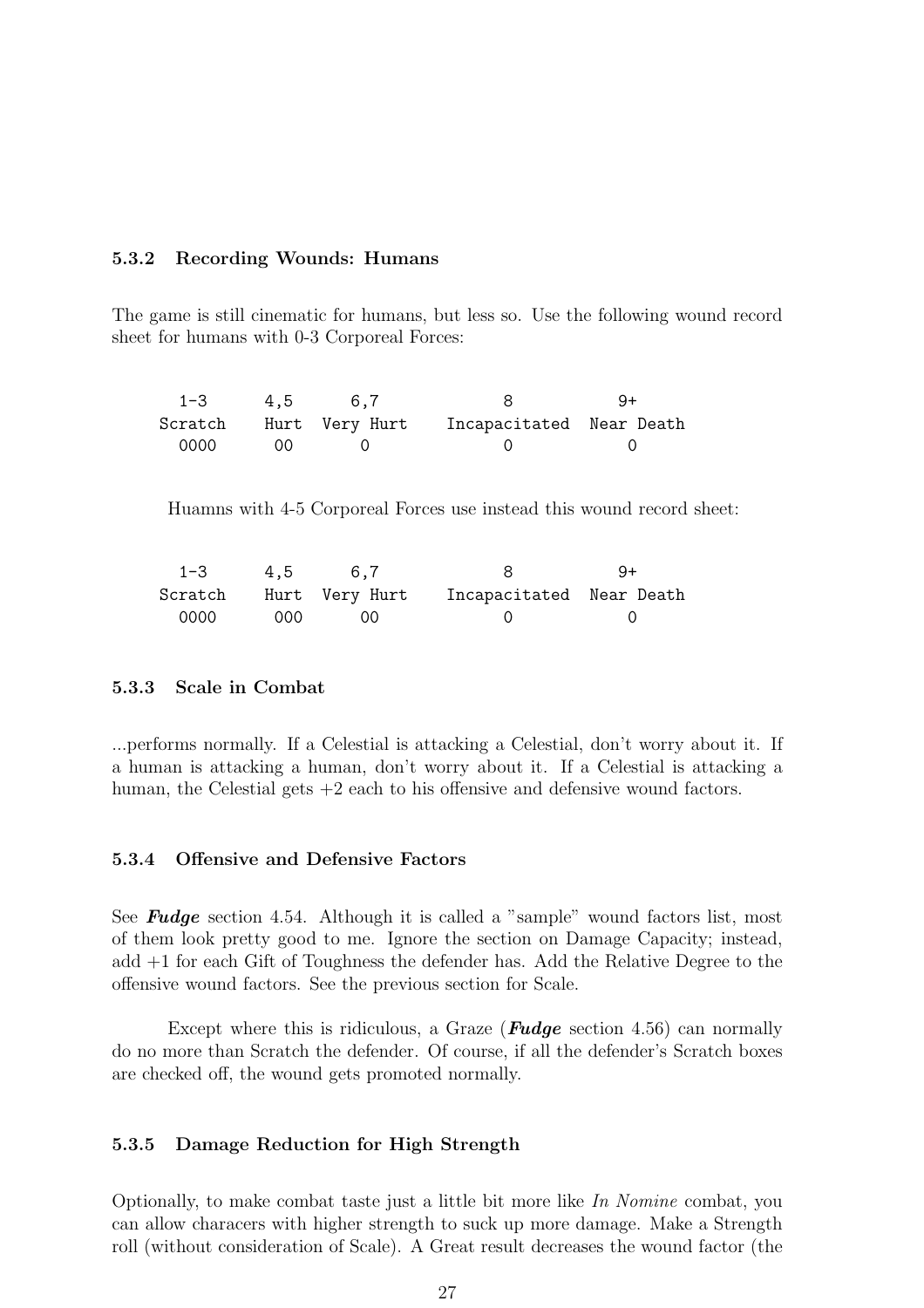#### 5.3.2 Recording Wounds: Humans

The game is still cinematic for humans, but less so. Use the following wound record sheet for humans with 0-3 Corporeal Forces:

| $1 - 3$ 4.5 |                | 6.7            |                          | $9+$ |
|-------------|----------------|----------------|--------------------------|------|
| Scratch     |                | Hurt Very Hurt | Incapacitated Near Death |      |
| 0000        | O <sub>O</sub> |                |                          |      |

Huamns with 4-5 Corporeal Forces use instead this wound record sheet:

| $1 - 3$ | 4,5  | 6.7                    |                          | -9+ |
|---------|------|------------------------|--------------------------|-----|
|         |      | Scratch Hurt Very-Hurt | Incapacitated Near Death |     |
| - 0000  | ,000 | $\bigcirc$ $\bigcirc$  |                          |     |

#### 5.3.3 Scale in Combat

...performs normally. If a Celestial is attacking a Celestial, don't worry about it. If a human is attacking a human, don't worry about it. If a Celestial is attacking a human, the Celestial gets  $+2$  each to his offensive and defensive wound factors.

#### 5.3.4 Offensive and Defensive Factors

See **Fudge** section 4.54. Although it is called a "sample" wound factors list, most of them look pretty good to me. Ignore the section on Damage Capacity; instead, add +1 for each Gift of Toughness the defender has. Add the Relative Degree to the offensive wound factors. See the previous section for Scale.

Except where this is ridiculous, a Graze (**Fudge** section 4.56) can normally do no more than Scratch the defender. Of course, if all the defender's Scratch boxes are checked off, the wound gets promoted normally.

#### 5.3.5 Damage Reduction for High Strength

Optionally, to make combat taste just a little bit more like *In Nomine* combat, you can allow characers with higher strength to suck up more damage. Make a Strength roll (without consideration of Scale). A Great result decreases the wound factor (the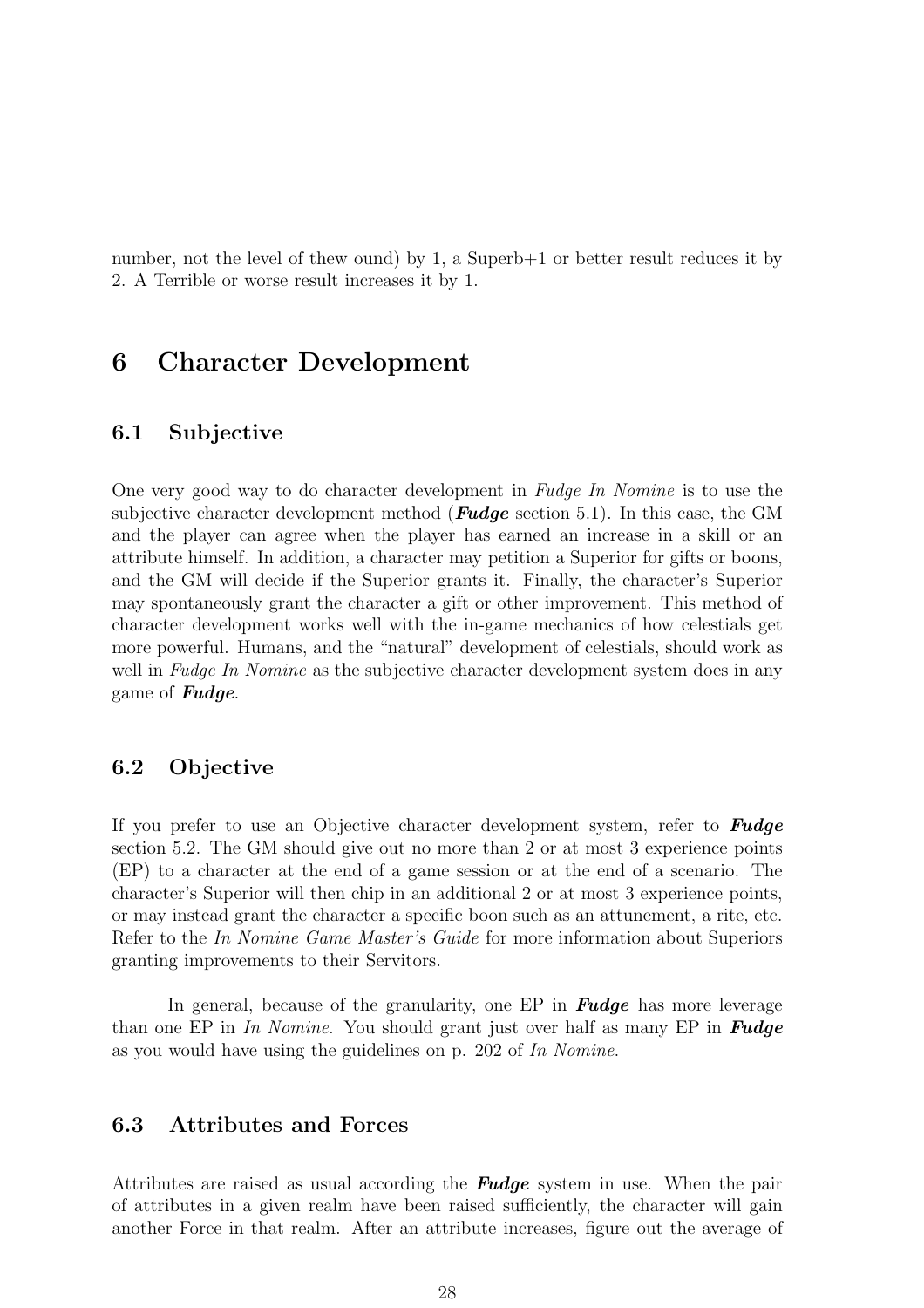number, not the level of thew ound) by 1, a Superb+1 or better result reduces it by 2. A Terrible or worse result increases it by 1.

# 6 Character Development

## 6.1 Subjective

One very good way to do character development in *Fudge In Nomine* is to use the subjective character development method ( $Fudge$  section 5.1). In this case, the GM and the player can agree when the player has earned an increase in a skill or an attribute himself. In addition, a character may petition a Superior for gifts or boons, and the GM will decide if the Superior grants it. Finally, the character's Superior may spontaneously grant the character a gift or other improvement. This method of character development works well with the in-game mechanics of how celestials get more powerful. Humans, and the "natural" development of celestials, should work as well in *Fudge In Nomine* as the subjective character development system does in any game of Fudge.

## 6.2 Objective

If you prefer to use an Objective character development system, refer to **Fudge** section 5.2. The GM should give out no more than 2 or at most 3 experience points (EP) to a character at the end of a game session or at the end of a scenario. The character's Superior will then chip in an additional 2 or at most 3 experience points, or may instead grant the character a specific boon such as an attunement, a rite, etc. Refer to the *In Nomine Game Master's Guide* for more information about Superiors granting improvements to their Servitors.

In general, because of the granularity, one EP in **Fudge** has more leverage than one EP in *In Nomine*. You should grant just over half as many EP in Fudge as you would have using the guidelines on p. 202 of *In Nomine*.

## 6.3 Attributes and Forces

Attributes are raised as usual according the **Fudge** system in use. When the pair of attributes in a given realm have been raised sufficiently, the character will gain another Force in that realm. After an attribute increases, figure out the average of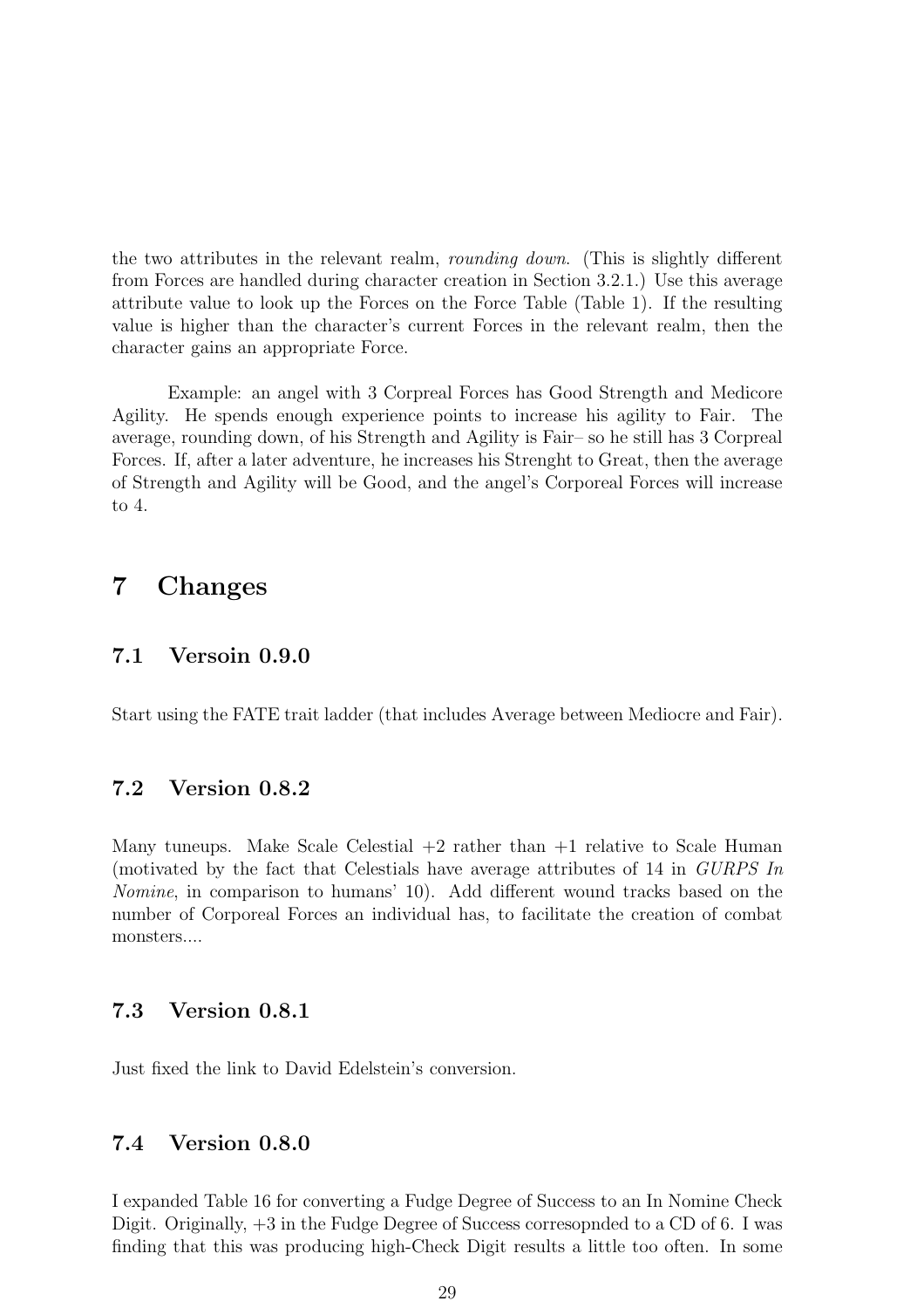the two attributes in the relevant realm, *rounding down*. (This is slightly different from Forces are handled during character creation in Section 3.2.1.) Use this average attribute value to look up the Forces on the Force Table (Table 1). If the resulting value is higher than the character's current Forces in the relevant realm, then the character gains an appropriate Force.

Example: an angel with 3 Corpreal Forces has Good Strength and Medicore Agility. He spends enough experience points to increase his agility to Fair. The average, rounding down, of his Strength and Agility is Fair– so he still has 3 Corpreal Forces. If, after a later adventure, he increases his Strenght to Great, then the average of Strength and Agility will be Good, and the angel's Corporeal Forces will increase to 4.

# 7 Changes

## 7.1 Versoin 0.9.0

Start using the FATE trait ladder (that includes Average between Mediocre and Fair).

## 7.2 Version 0.8.2

Many tuneups. Make Scale Celestial  $+2$  rather than  $+1$  relative to Scale Human (motivated by the fact that Celestials have average attributes of 14 in *GURPS In Nomine*, in comparison to humans' 10). Add different wound tracks based on the number of Corporeal Forces an individual has, to facilitate the creation of combat monsters....

## 7.3 Version 0.8.1

Just fixed the link to David Edelstein's conversion.

## 7.4 Version 0.8.0

I expanded Table 16 for converting a Fudge Degree of Success to an In Nomine Check Digit. Originally, +3 in the Fudge Degree of Success corresopnded to a CD of 6. I was finding that this was producing high-Check Digit results a little too often. In some